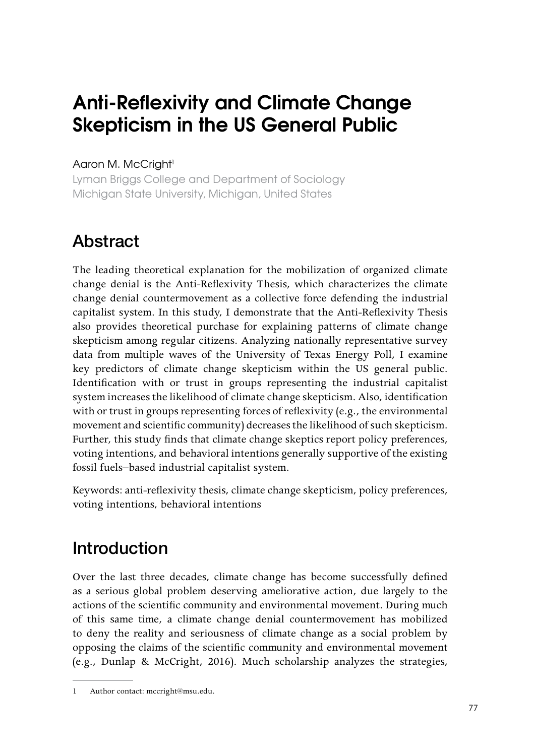# **Anti-Reflexivity and Climate Change Skepticism in the US General Public**

#### Aaron M. McCright<sup>1</sup>

Lyman Briggs College and Department of Sociology Michigan State University, Michigan, United States

## Abstract

The leading theoretical explanation for the mobilization of organized climate change denial is the Anti-Reflexivity Thesis, which characterizes the climate change denial countermovement as a collective force defending the industrial capitalist system. In this study, I demonstrate that the Anti-Reflexivity Thesis also provides theoretical purchase for explaining patterns of climate change skepticism among regular citizens. Analyzing nationally representative survey data from multiple waves of the University of Texas Energy Poll, I examine key predictors of climate change skepticism within the US general public. Identification with or trust in groups representing the industrial capitalist system increases the likelihood of climate change skepticism. Also, identification with or trust in groups representing forces of reflexivity (e.g., the environmental movement and scientific community) decreases the likelihood of such skepticism. Further, this study finds that climate change skeptics report policy preferences, voting intentions, and behavioral intentions generally supportive of the existing fossil fuels–based industrial capitalist system.

Keywords: anti-reflexivity thesis, climate change skepticism, policy preferences, voting intentions, behavioral intentions

## Introduction

Over the last three decades, climate change has become successfully defined as a serious global problem deserving ameliorative action, due largely to the actions of the scientific community and environmental movement. During much of this same time, a climate change denial countermovement has mobilized to deny the reality and seriousness of climate change as a social problem by opposing the claims of the scientific community and environmental movement (e.g., Dunlap & McCright, 2016). Much scholarship analyzes the strategies,

<sup>1</sup> Author contact: [mccright@msu.edu](mailto:mccright@msu.edu).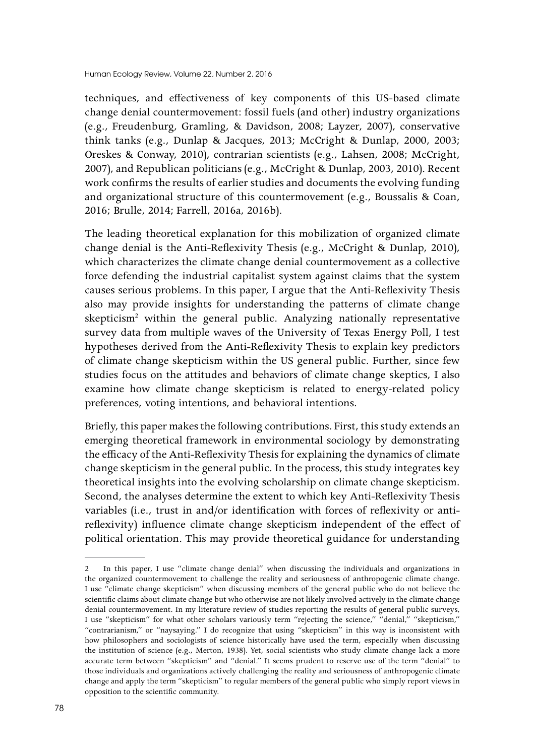techniques, and effectiveness of key components of this US-based climate change denial countermovement: fossil fuels (and other) industry organizations (e.g., Freudenburg, Gramling, & Davidson, 2008; Layzer, 2007), conservative think tanks (e.g., Dunlap & Jacques, 2013; McCright & Dunlap, 2000, 2003; Oreskes & Conway, 2010), contrarian scientists (e.g., Lahsen, 2008; McCright, 2007), and Republican politicians (e.g., McCright & Dunlap, 2003, 2010). Recent work confirms the results of earlier studies and documents the evolving funding and organizational structure of this countermovement (e.g., Boussalis & Coan, 2016; Brulle, 2014; Farrell, 2016a, 2016b).

The leading theoretical explanation for this mobilization of organized climate change denial is the Anti-Reflexivity Thesis (e.g., McCright & Dunlap, 2010), which characterizes the climate change denial countermovement as a collective force defending the industrial capitalist system against claims that the system causes serious problems. In this paper, I argue that the Anti-Reflexivity Thesis also may provide insights for understanding the patterns of climate change skepticism<sup>2</sup> within the general public. Analyzing nationally representative survey data from multiple waves of the University of Texas Energy Poll, I test hypotheses derived from the Anti-Reflexivity Thesis to explain key predictors of climate change skepticism within the US general public. Further, since few studies focus on the attitudes and behaviors of climate change skeptics, I also examine how climate change skepticism is related to energy-related policy preferences, voting intentions, and behavioral intentions.

Briefly, this paper makes the following contributions. First, this study extends an emerging theoretical framework in environmental sociology by demonstrating the efficacy of the Anti-Reflexivity Thesis for explaining the dynamics of climate change skepticism in the general public. In the process, this study integrates key theoretical insights into the evolving scholarship on climate change skepticism. Second, the analyses determine the extent to which key Anti-Reflexivity Thesis variables (i.e., trust in and/or identification with forces of reflexivity or antireflexivity) influence climate change skepticism independent of the effect of political orientation. This may provide theoretical guidance for understanding

<sup>2</sup> In this paper, I use "climate change denial" when discussing the individuals and organizations in the organized countermovement to challenge the reality and seriousness of anthropogenic climate change. I use "climate change skepticism" when discussing members of the general public who do not believe the scientific claims about climate change but who otherwise are not likely involved actively in the climate change denial countermovement. In my literature review of studies reporting the results of general public surveys, I use "skepticism" for what other scholars variously term "rejecting the science," "denial," "skepticism," "contrarianism," or "naysaying." I do recognize that using "skepticism" in this way is inconsistent with how philosophers and sociologists of science historically have used the term, especially when discussing the institution of science (e.g., Merton, 1938). Yet, social scientists who study climate change lack a more accurate term between "skepticism" and "denial." It seems prudent to reserve use of the term "denial" to those individuals and organizations actively challenging the reality and seriousness of anthropogenic climate change and apply the term "skepticism" to regular members of the general public who simply report views in opposition to the scientific community.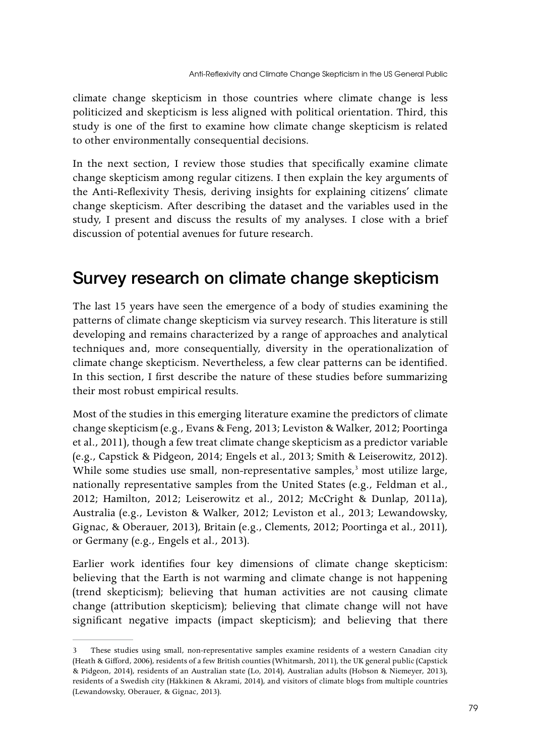climate change skepticism in those countries where climate change is less politicized and skepticism is less aligned with political orientation. Third, this study is one of the first to examine how climate change skepticism is related to other environmentally consequential decisions.

In the next section, I review those studies that specifically examine climate change skepticism among regular citizens. I then explain the key arguments of the Anti-Reflexivity Thesis, deriving insights for explaining citizens' climate change skepticism. After describing the dataset and the variables used in the study, I present and discuss the results of my analyses. I close with a brief discussion of potential avenues for future research.

## Survey research on climate change skepticism

The last 15 years have seen the emergence of a body of studies examining the patterns of climate change skepticism via survey research. This literature is still developing and remains characterized by a range of approaches and analytical techniques and, more consequentially, diversity in the operationalization of climate change skepticism. Nevertheless, a few clear patterns can be identified. In this section, I first describe the nature of these studies before summarizing their most robust empirical results.

Most of the studies in this emerging literature examine the predictors of climate change skepticism (e.g., Evans & Feng, 2013; Leviston & Walker, 2012; Poortinga et al., 2011), though a few treat climate change skepticism as a predictor variable (e.g., Capstick & Pidgeon, 2014; Engels et al., 2013; Smith & Leiserowitz, 2012). While some studies use small, non-representative samples,<sup>3</sup> most utilize large, nationally representative samples from the United States (e.g., Feldman et al., 2012; Hamilton, 2012; Leiserowitz et al., 2012; McCright & Dunlap, 2011a), Australia (e.g., Leviston & Walker, 2012; Leviston et al., 2013; Lewandowsky, Gignac, & Oberauer, 2013), Britain (e.g., Clements, 2012; Poortinga et al., 2011), or Germany (e.g., Engels et al., 2013).

Earlier work identifies four key dimensions of climate change skepticism: believing that the Earth is not warming and climate change is not happening (trend skepticism); believing that human activities are not causing climate change (attribution skepticism); believing that climate change will not have significant negative impacts (impact skepticism); and believing that there

<sup>3</sup> These studies using small, non-representative samples examine residents of a western Canadian city (Heath & Gifford, 2006), residents of a few British counties (Whitmarsh, 2011), the UK general public (Capstick & Pidgeon, 2014), residents of an Australian state (Lo, 2014), Australian adults (Hobson & Niemeyer, 2013), residents of a Swedish city (Häkkinen & Akrami, 2014), and visitors of climate blogs from multiple countries (Lewandowsky, Oberauer, & Gignac, 2013).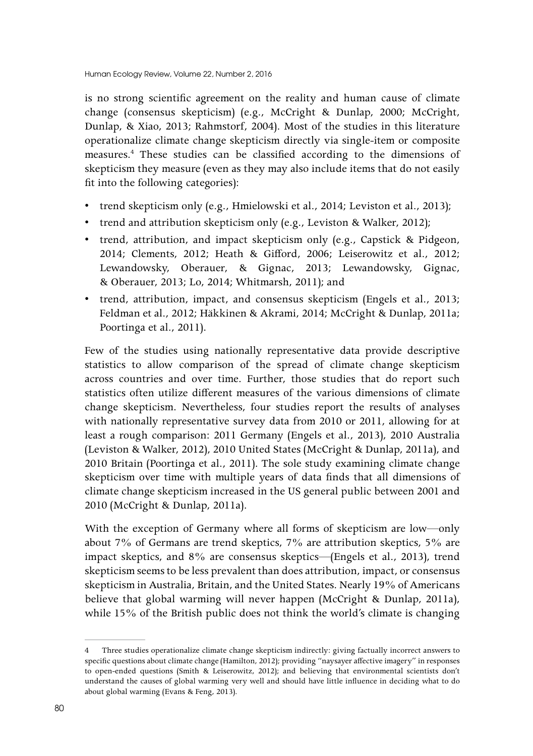is no strong scientific agreement on the reality and human cause of climate change (consensus skepticism) (e.g., McCright & Dunlap, 2000; McCright, Dunlap, & Xiao, 2013; Rahmstorf, 2004). Most of the studies in this literature operationalize climate change skepticism directly via single-item or composite measures.4 These studies can be classified according to the dimensions of skepticism they measure (even as they may also include items that do not easily fit into the following categories):

- trend skepticism only (e.g., Hmielowski et al., 2014; Leviston et al., 2013);
- trend and attribution skepticism only (e.g., Leviston & Walker, 2012);
- trend, attribution, and impact skepticism only (e.g., Capstick & Pidgeon, 2014; Clements, 2012; Heath & Gifford, 2006; Leiserowitz et al., 2012; Lewandowsky, Oberauer, & Gignac, 2013; Lewandowsky, Gignac, & Oberauer, 2013; Lo, 2014; Whitmarsh, 2011); and
- trend, attribution, impact, and consensus skepticism (Engels et al., 2013; Feldman et al., 2012; Häkkinen & Akrami, 2014; McCright & Dunlap, 2011a; Poortinga et al., 2011).

Few of the studies using nationally representative data provide descriptive statistics to allow comparison of the spread of climate change skepticism across countries and over time. Further, those studies that do report such statistics often utilize different measures of the various dimensions of climate change skepticism. Nevertheless, four studies report the results of analyses with nationally representative survey data from 2010 or 2011, allowing for at least a rough comparison: 2011 Germany (Engels et al., 2013), 2010 Australia (Leviston & Walker, 2012), 2010 United States (McCright & Dunlap, 2011a), and 2010 Britain (Poortinga et al., 2011). The sole study examining climate change skepticism over time with multiple years of data finds that all dimensions of climate change skepticism increased in the US general public between 2001 and 2010 (McCright & Dunlap, 2011a).

With the exception of Germany where all forms of skepticism are low—only about 7% of Germans are trend skeptics, 7% are attribution skeptics, 5% are impact skeptics, and 8% are consensus skeptics—(Engels et al., 2013), trend skepticism seems to be less prevalent than does attribution, impact, or consensus skepticism in Australia, Britain, and the United States. Nearly 19% of Americans believe that global warming will never happen (McCright & Dunlap, 2011a), while 15% of the British public does not think the world's climate is changing

<sup>4</sup> Three studies operationalize climate change skepticism indirectly: giving factually incorrect answers to specific questions about climate change (Hamilton, 2012); providing "naysayer affective imagery" in responses to open-ended questions (Smith & Leiserowitz, 2012); and believing that environmental scientists don't understand the causes of global warming very well and should have little influence in deciding what to do about global warming (Evans & Feng, 2013).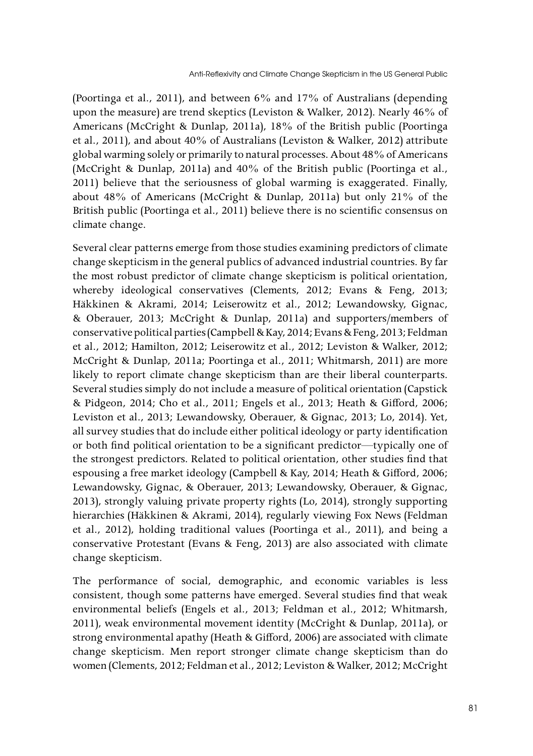(Poortinga et al., 2011), and between 6% and 17% of Australians (depending upon the measure) are trend skeptics (Leviston & Walker, 2012). Nearly 46% of Americans (McCright & Dunlap, 2011a), 18% of the British public (Poortinga et al., 2011), and about 40% of Australians (Leviston & Walker, 2012) attribute global warming solely or primarily to natural processes. About 48% of Americans (McCright & Dunlap, 2011a) and 40% of the British public (Poortinga et al., 2011) believe that the seriousness of global warming is exaggerated. Finally, about 48% of Americans (McCright & Dunlap, 2011a) but only 21% of the British public (Poortinga et al., 2011) believe there is no scientific consensus on climate change.

Several clear patterns emerge from those studies examining predictors of climate change skepticism in the general publics of advanced industrial countries. By far the most robust predictor of climate change skepticism is political orientation, whereby ideological conservatives (Clements, 2012; Evans & Feng, 2013; Häkkinen & Akrami, 2014; Leiserowitz et al., 2012; Lewandowsky, Gignac, & Oberauer, 2013; McCright & Dunlap, 2011a) and supporters/members of conservative political parties (Campbell & Kay, 2014; Evans & Feng, 2013; Feldman et al., 2012; Hamilton, 2012; Leiserowitz et al., 2012; Leviston & Walker, 2012; McCright & Dunlap, 2011a; Poortinga et al., 2011; Whitmarsh, 2011) are more likely to report climate change skepticism than are their liberal counterparts. Several studies simply do not include a measure of political orientation (Capstick & Pidgeon, 2014; Cho et al., 2011; Engels et al., 2013; Heath & Gifford, 2006; Leviston et al., 2013; Lewandowsky, Oberauer, & Gignac, 2013; Lo, 2014). Yet, all survey studies that do include either political ideology or party identification or both find political orientation to be a significant predictor—typically one of the strongest predictors. Related to political orientation, other studies find that espousing a free market ideology (Campbell & Kay, 2014; Heath & Gifford, 2006; Lewandowsky, Gignac, & Oberauer, 2013; Lewandowsky, Oberauer, & Gignac, 2013), strongly valuing private property rights (Lo, 2014), strongly supporting hierarchies (Häkkinen & Akrami, 2014), regularly viewing Fox News (Feldman et al., 2012), holding traditional values (Poortinga et al., 2011), and being a conservative Protestant (Evans & Feng, 2013) are also associated with climate change skepticism.

The performance of social, demographic, and economic variables is less consistent, though some patterns have emerged. Several studies find that weak environmental beliefs (Engels et al., 2013; Feldman et al., 2012; Whitmarsh, 2011), weak environmental movement identity (McCright & Dunlap, 2011a), or strong environmental apathy (Heath & Gifford, 2006) are associated with climate change skepticism. Men report stronger climate change skepticism than do women (Clements, 2012; Feldman et al., 2012; Leviston & Walker, 2012; McCright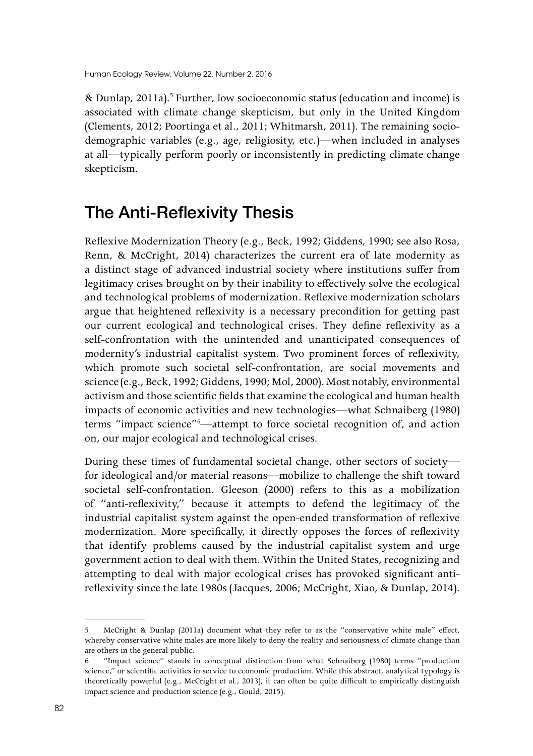Human Ecology Review, Volume 22, Number 2, 2016

& Dunlap, 2011a).<sup>5</sup> Further, low socioeconomic status (education and income) is associated with climate change skepticism, but only in the United Kingdom (Clements, 2012; Poortinga et al., 2011; Whitmarsh, 2011). The remaining sociodemographic variables (e.g., age, religiosity, etc.)—when included in analyses at all—typically perform poorly or inconsistently in predicting climate change skepticism.

## The Anti-Reflexivity Thesis

Reflexive Modernization Theory (e.g., Beck, 1992; Giddens, 1990; see also Rosa, Renn, & McCright, 2014) characterizes the current era of late modernity as a distinct stage of advanced industrial society where institutions suffer from legitimacy crises brought on by their inability to effectively solve the ecological and technological problems of modernization. Reflexive modernization scholars argue that heightened reflexivity is a necessary precondition for getting past our current ecological and technological crises. They define reflexivity as a self-confrontation with the unintended and unanticipated consequences of modernity's industrial capitalist system. Two prominent forces of reflexivity, which promote such societal self-confrontation, are social movements and science (e.g., Beck, 1992; Giddens, 1990; Mol, 2000). Most notably, environmental activism and those scientific fields that examine the ecological and human health impacts of economic activities and new technologies—what Schnaiberg (1980) terms "impact science"6 —attempt to force societal recognition of, and action on, our major ecological and technological crises.

During these times of fundamental societal change, other sectors of society for ideological and/or material reasons—mobilize to challenge the shift toward societal self-confrontation. Gleeson (2000) refers to this as a mobilization of "anti-reflexivity," because it attempts to defend the legitimacy of the industrial capitalist system against the open-ended transformation of reflexive modernization. More specifically, it directly opposes the forces of reflexivity that identify problems caused by the industrial capitalist system and urge government action to deal with them. Within the United States, recognizing and attempting to deal with major ecological crises has provoked significant antireflexivity since the late 1980s (Jacques, 2006; McCright, Xiao, & Dunlap, 2014).

<sup>5</sup> McCright & Dunlap (2011a) document what they refer to as the "conservative white male" effect, whereby conservative white males are more likely to deny the reality and seriousness of climate change than are others in the general public.

<sup>6 &</sup>quot;Impact science" stands in conceptual distinction from what Schnaiberg (1980) terms "production science," or scientific activities in service to economic production. While this abstract, analytical typology is theoretically powerful (e.g., McCright et al., 2013), it can often be quite difficult to empirically distinguish impact science and production science (e.g., Gould, 2015).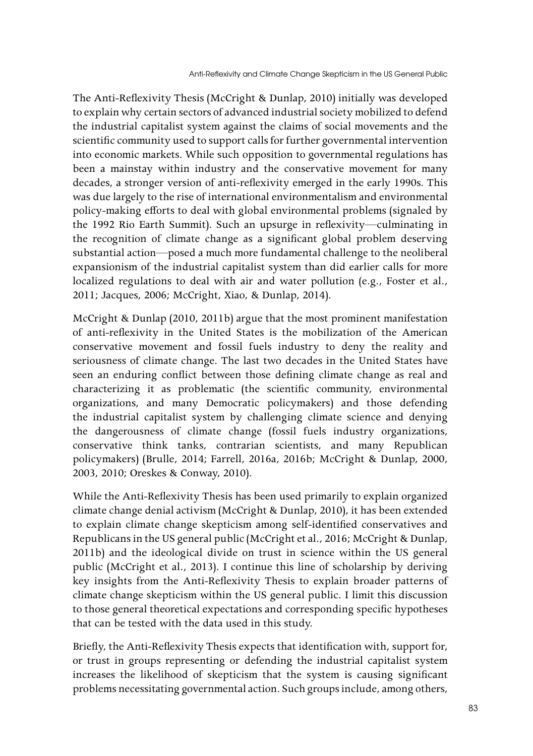The Anti-Reflexivity Thesis (McCright & Dunlap, 2010) initially was developed to explain why certain sectors of advanced industrial society mobilized to defend the industrial capitalist system against the claims of social movements and the scientific community used to support calls for further governmental intervention into economic markets. While such opposition to governmental regulations has been a mainstay within industry and the conservative movement for many decades, a stronger version of anti-reflexivity emerged in the early 1990s. This was due largely to the rise of international environmentalism and environmental policy-making efforts to deal with global environmental problems (signaled by the 1992 Rio Earth Summit). Such an upsurge in reflexivity—culminating in the recognition of climate change as a significant global problem deserving substantial action—posed a much more fundamental challenge to the neoliberal expansionism of the industrial capitalist system than did earlier calls for more localized regulations to deal with air and water pollution (e.g., Foster et al., 2011; Jacques, 2006; McCright, Xiao, & Dunlap, 2014).

McCright & Dunlap (2010, 2011b) argue that the most prominent manifestation of anti-reflexivity in the United States is the mobilization of the American conservative movement and fossil fuels industry to deny the reality and seriousness of climate change. The last two decades in the United States have seen an enduring conflict between those defining climate change as real and characterizing it as problematic (the scientific community, environmental organizations, and many Democratic policymakers) and those defending the industrial capitalist system by challenging climate science and denying the dangerousness of climate change (fossil fuels industry organizations, conservative think tanks, contrarian scientists, and many Republican policymakers) (Brulle, 2014; Farrell, 2016a, 2016b; McCright & Dunlap, 2000, 2003, 2010; Oreskes & Conway, 2010).

While the Anti-Reflexivity Thesis has been used primarily to explain organized climate change denial activism (McCright & Dunlap, 2010), it has been extended to explain climate change skepticism among self-identified conservatives and Republicans in the US general public (McCright et al., 2016; McCright & Dunlap, 2011b) and the ideological divide on trust in science within the US general public (McCright et al., 2013). I continue this line of scholarship by deriving key insights from the Anti-Reflexivity Thesis to explain broader patterns of climate change skepticism within the US general public. I limit this discussion to those general theoretical expectations and corresponding specific hypotheses that can be tested with the data used in this study.

Briefly, the Anti-Reflexivity Thesis expects that identification with, support for, or trust in groups representing or defending the industrial capitalist system increases the likelihood of skepticism that the system is causing significant problems necessitating governmental action. Such groups include, among others,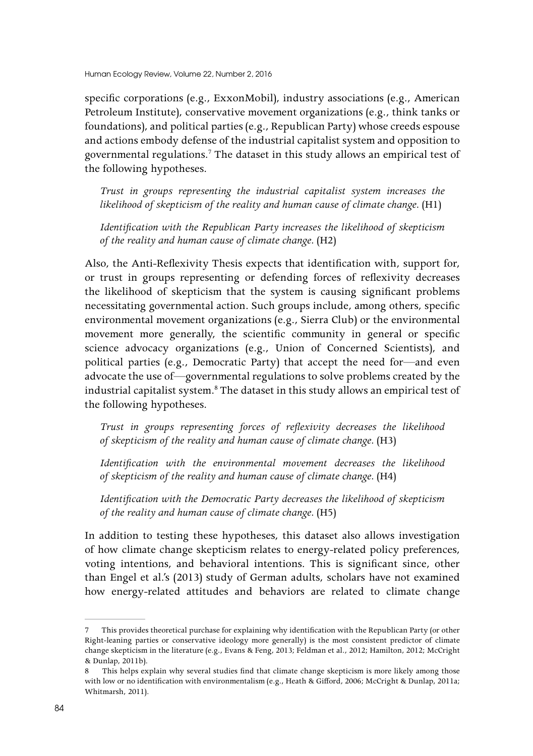specific corporations (e.g., ExxonMobil), industry associations (e.g., American Petroleum Institute), conservative movement organizations (e.g., think tanks or foundations), and political parties (e.g., Republican Party) whose creeds espouse and actions embody defense of the industrial capitalist system and opposition to governmental regulations.7 The dataset in this study allows an empirical test of the following hypotheses.

*Trust in groups representing the industrial capitalist system increases the likelihood of skepticism of the reality and human cause of climate change.* (H1)

*Identification with the Republican Party increases the likelihood of skepticism of the reality and human cause of climate change.* (H2)

Also, the Anti-Reflexivity Thesis expects that identification with, support for, or trust in groups representing or defending forces of reflexivity decreases the likelihood of skepticism that the system is causing significant problems necessitating governmental action. Such groups include, among others, specific environmental movement organizations (e.g., Sierra Club) or the environmental movement more generally, the scientific community in general or specific science advocacy organizations (e.g., Union of Concerned Scientists), and political parties (e.g., Democratic Party) that accept the need for—and even advocate the use of—governmental regulations to solve problems created by the industrial capitalist system.8 The dataset in this study allows an empirical test of the following hypotheses.

*Trust in groups representing forces of reflexivity decreases the likelihood of skepticism of the reality and human cause of climate change.* (H3)

*Identification with the environmental movement decreases the likelihood of skepticism of the reality and human cause of climate change.* (H4)

*Identification with the Democratic Party decreases the likelihood of skepticism of the reality and human cause of climate change.* (H5)

In addition to testing these hypotheses, this dataset also allows investigation of how climate change skepticism relates to energy-related policy preferences, voting intentions, and behavioral intentions. This is significant since, other than Engel et al.'s (2013) study of German adults, scholars have not examined how energy-related attitudes and behaviors are related to climate change

<sup>7</sup> This provides theoretical purchase for explaining why identification with the Republican Party (or other Right-leaning parties or conservative ideology more generally) is the most consistent predictor of climate change skepticism in the literature (e.g., Evans & Feng, 2013; Feldman et al., 2012; Hamilton, 2012; McCright & Dunlap, 2011b).

This helps explain why several studies find that climate change skepticism is more likely among those with low or no identification with environmentalism (e.g., Heath & Gifford, 2006; McCright & Dunlap, 2011a; Whitmarsh, 2011).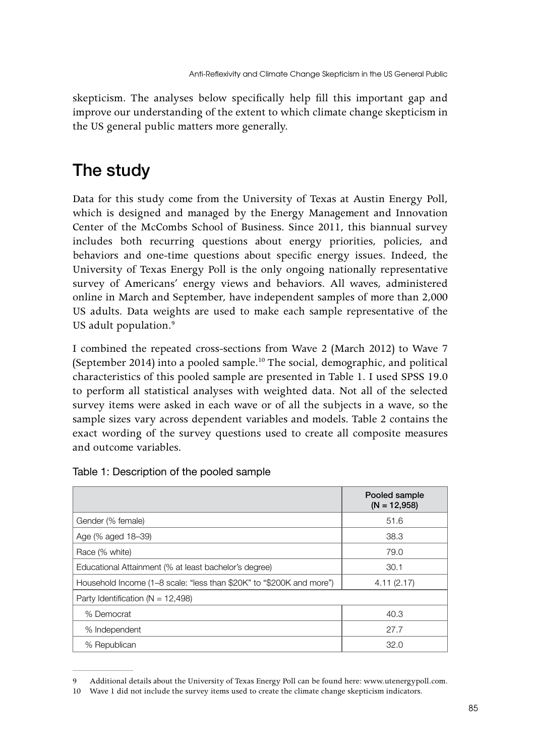skepticism. The analyses below specifically help fill this important gap and improve our understanding of the extent to which climate change skepticism in the US general public matters more generally.

## The study

Data for this study come from the University of Texas at Austin Energy Poll, which is designed and managed by the Energy Management and Innovation Center of the McCombs School of Business. Since 2011, this biannual survey includes both recurring questions about energy priorities, policies, and behaviors and one-time questions about specific energy issues. Indeed, the University of Texas Energy Poll is the only ongoing nationally representative survey of Americans' energy views and behaviors. All waves, administered online in March and September, have independent samples of more than 2,000 US adults. Data weights are used to make each sample representative of the US adult population.<sup>9</sup>

I combined the repeated cross-sections from Wave 2 (March 2012) to Wave 7 (September 2014) into a pooled sample.<sup>10</sup> The social, demographic, and political characteristics of this pooled sample are presented in Table 1. I used SPSS 19.0 to perform all statistical analyses with weighted data. Not all of the selected survey items were asked in each wave or of all the subjects in a wave, so the sample sizes vary across dependent variables and models. Table 2 contains the exact wording of the survey questions used to create all composite measures and outcome variables.

|                                                                      | Pooled sample<br>$(N = 12,958)$ |
|----------------------------------------------------------------------|---------------------------------|
| Gender (% female)                                                    | 51.6                            |
| Age (% aged 18-39)                                                   | 38.3                            |
| Race (% white)                                                       | 79.0                            |
| Educational Attainment (% at least bachelor's degree)                | 30.1                            |
| Household Income (1–8 scale: "less than \$20K" to "\$200K and more") | 4.11(2.17)                      |
| Party Identification ( $N = 12,498$ )                                |                                 |
| % Democrat                                                           | 40.3                            |
| % Independent                                                        | 27.7                            |
| % Republican                                                         | 32.0                            |

<sup>9</sup> Additional details about the University of Texas Energy Poll can be found here: www.utenergypoll.com.

<sup>10</sup> Wave 1 did not include the survey items used to create the climate change skepticism indicators.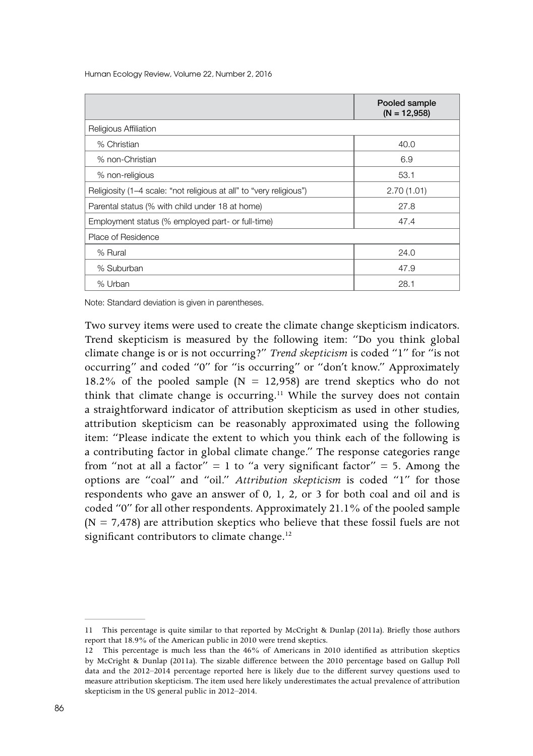Human Ecology Review, Volume 22, Number 2, 2016

|                                                                     | Pooled sample<br>$(N = 12,958)$ |
|---------------------------------------------------------------------|---------------------------------|
| <b>Religious Affiliation</b>                                        |                                 |
| % Christian                                                         | 40.0                            |
| % non-Christian                                                     | 6.9                             |
| % non-religious                                                     | 53.1                            |
| Religiosity (1–4 scale: "not religious at all" to "very religious") | 2.70(1.01)                      |
| Parental status (% with child under 18 at home)                     | 27.8                            |
| Employment status (% employed part- or full-time)                   | 47.4                            |
| Place of Residence                                                  |                                 |
| % Rural                                                             | 24.0                            |
| % Suburban                                                          | 47.9                            |
| % Urban                                                             | 28.1                            |

Note: Standard deviation is given in parentheses.

Two survey items were used to create the climate change skepticism indicators. Trend skepticism is measured by the following item: "Do you think global climate change is or is not occurring?" *Trend skepticism* is coded "1" for "is not occurring" and coded "0" for "is occurring" or "don't know." Approximately 18.2% of the pooled sample  $(N = 12,958)$  are trend skeptics who do not think that climate change is occurring.<sup>11</sup> While the survey does not contain a straightforward indicator of attribution skepticism as used in other studies, attribution skepticism can be reasonably approximated using the following item: "Please indicate the extent to which you think each of the following is a contributing factor in global climate change." The response categories range from "not at all a factor" = 1 to "a very significant factor" = 5. Among the options are "coal" and "oil." *Attribution skepticism* is coded "1" for those respondents who gave an answer of 0, 1, 2, or 3 for both coal and oil and is coded "0" for all other respondents. Approximately 21.1% of the pooled sample  $(N = 7,478)$  are attribution skeptics who believe that these fossil fuels are not significant contributors to climate change.<sup>12</sup>

<sup>11</sup> This percentage is quite similar to that reported by McCright & Dunlap (2011a). Briefly those authors report that 18.9% of the American public in 2010 were trend skeptics.

<sup>12</sup> This percentage is much less than the 46% of Americans in 2010 identified as attribution skeptics by McCright & Dunlap (2011a). The sizable difference between the 2010 percentage based on Gallup Poll data and the 2012–2014 percentage reported here is likely due to the different survey questions used to measure attribution skepticism. The item used here likely underestimates the actual prevalence of attribution skepticism in the US general public in 2012–2014.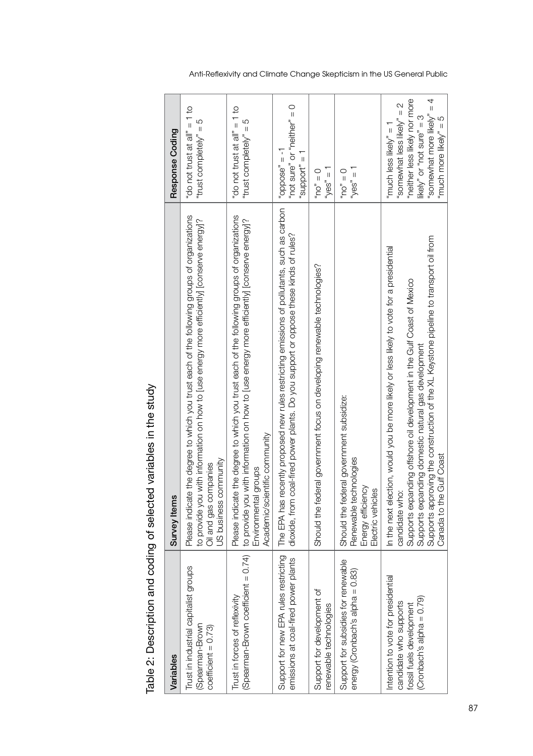| J                 |  |
|-------------------|--|
| to believe been a |  |
|                   |  |
|                   |  |
| Í                 |  |
| ۔<br>ا<br>j       |  |

| Variables                                                                                                               | Survey Items                                                                                                                                                                                                                                                                                                                                                      | Response Coding                                                                                                                                                                   |
|-------------------------------------------------------------------------------------------------------------------------|-------------------------------------------------------------------------------------------------------------------------------------------------------------------------------------------------------------------------------------------------------------------------------------------------------------------------------------------------------------------|-----------------------------------------------------------------------------------------------------------------------------------------------------------------------------------|
| Sql<br>Trust in industrial capitalist grou<br>Spearman-Brown<br>$coefficient = 0.73$                                    | Please indicate the degree to which you trust each of the following groups of organizations<br>to provide you with information on how to luse energy more efficiently] [conserve energy]?<br>US business community<br>Oil and gas companies                                                                                                                       | "do not trust at all" $= 1$ to<br>"trust completely" = $5$                                                                                                                        |
| 0.74<br>Spearman-Brown coefficient =<br>Trust in forces of reflexivity                                                  | Please indicate the degree to which you trust each of the following groups of organizations<br>to provide you with information on how to [use energy more efficiently] [conserve energy]?<br>Academic/scientific community<br>Environmental groups                                                                                                                | "do not trust at all" $= 1$ to<br>"trust completely" $= 5$                                                                                                                        |
| Support for new EPA rules restricting<br>emissions at coal-fired power plants                                           | The EPA has recently proposed new rules restricting emissions of pollutants, such as carbon<br>dioxide, from coal-fired power plants. Do you support or oppose these kinds of rules?                                                                                                                                                                              | "not sure" or "neither" $= 0$<br>$l - 2$ $\beta$ asoddo <sub>"</sub><br>$=$ appoors,                                                                                              |
| Support for development of<br>renewable technologies                                                                    | Should the federal government focus on developing renewable technologies?                                                                                                                                                                                                                                                                                         | $\gamma$ es" = 1<br>$O = \omega$                                                                                                                                                  |
| Support for subsidies for renewable<br>energy (Cronbach's alpha = 0.83)                                                 | Should the federal government subsidize:<br>Renewable technologies<br>Energy efficiency<br>Electric vehicles                                                                                                                                                                                                                                                      | $t = {}_{u}S\Theta A_{n}$<br>$O = \omega U,$                                                                                                                                      |
| ntention to vote for presidential<br>$(Coronbach's alpha = 0.79)$<br>candidate who supports<br>fossil fuels development | Supports approving the construction of the XL Keystone pipeline to transport oil from<br>In the next election, would you be more likely or less likely to vote for a presidential<br>Supports expanding offshore oil development in the Gulf Coast of Mexico<br>Supports expanding domestic natural gas development<br>Canada to the Gulf Coast<br>candidate who: | "neither less likely nor more<br>4<br>"somewhat less likely" = 2<br>"somewhat more likely" =<br>likely" or "not sure" $=$ 3<br>'much more likely" = 5<br>"much less likely" $= 1$ |

Anti-Reflexivity and Climate Change Skepticism in the US General Public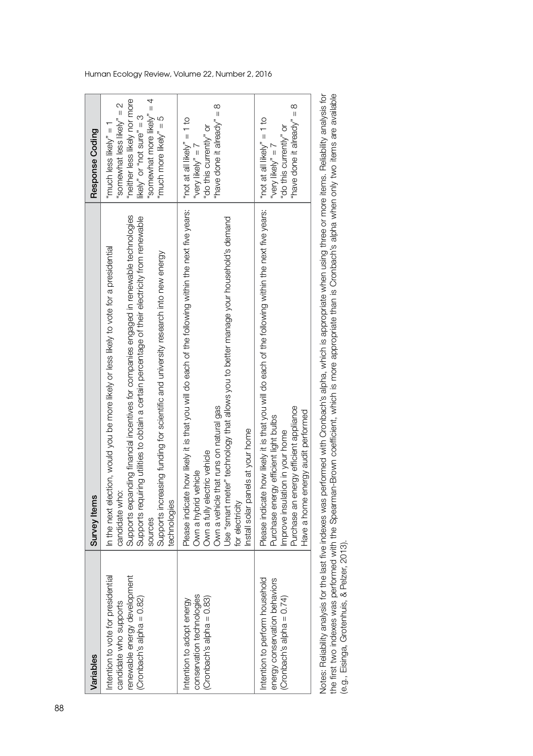| Variables                                                                                                                 | <b>Survey Items</b>                                                                                                                                                                                                                                                                                                                                                                                                              | Response Coding                                                                                                                                                                       |
|---------------------------------------------------------------------------------------------------------------------------|----------------------------------------------------------------------------------------------------------------------------------------------------------------------------------------------------------------------------------------------------------------------------------------------------------------------------------------------------------------------------------------------------------------------------------|---------------------------------------------------------------------------------------------------------------------------------------------------------------------------------------|
| enewable energy development<br>Intention to vote for presidential<br>$(Conbach's alpha = 0.82)$<br>candidate who supports | Supports expanding financial incentives for companies engaged in renewable technologies<br>Supports requiring utilities to obtain a certain percentage of their electricity from renewable<br>In the next election, would you be more likely or less likely to vote for a presidential<br>Supports increasing funding for scientific and university research into new energy<br>candidate who:<br>technologies<br><b>SOUICES</b> | 4<br>"neither less likely nor more<br>$\sim$<br>"somewhat more likely" =<br>"somewhat less likely" =<br>likely" or "not sure" $=$ 3<br>"much more likely" = 5<br>"much less likely" = |
| conservation technologies<br>(Cronbach's alpha = 0.83)<br>Intention to adopt energy                                       | Please indicate how likely it is that you will do each of the following within the next five years:<br>Use "smart meter" technology that allows you to better manage your household's demand<br>Own a vehicle that runs on natural gas<br>Install solar panels at your home<br>Own a fully electric vehicle<br>Own a hybrid vehicle<br>for electricity                                                                           | "have done it already" $= 8$<br>"not at all likely" $= 1$ to<br>"do this currently" or<br>"very likely" =                                                                             |
| Intention to perform household<br>energy conservation behaviors<br>$(Conbach's alpha = 0.74)$                             | Please indicate how likely it is that you will do each of the following within the next five years:<br>Purchase an energy efficient appliance<br>Have a home energy audit performed<br>Purchase energy efficient light bulbs<br>Improve insulation in your home                                                                                                                                                                  | "have done it already" $= 8$<br>"not at all likely" $= 1$ to<br>"do this currently" or<br>"very likely" =                                                                             |
|                                                                                                                           | Notes: Beliability analysis for the last five indexes was performed with Cronbach's alpha winch is anoroniate when using three or more items. Beliability analysis for                                                                                                                                                                                                                                                           |                                                                                                                                                                                       |

| $\frac{1}{4}$                                                                                                   | ֧֦֦֦֦֦֦֦֧֦֧֦֧֧֦֧֦֧֧֧֛֛֛֛֛֛֛֛֛֛֛֛֛֛֛֚֚֚֚֚֚֝֝֝֝֝֝֓֝֝֓֝֝֓֝֝֟֓֝֟֓֝֬֝֝֝֓֟֓֝֓֝֓֝֜֜֜֜֜֜֜֜֜֜֜<br>$\sim$ $\sim$ $\sim$ |                            |
|-----------------------------------------------------------------------------------------------------------------|---------------------------------------------------------------------------------------------------------------|----------------------------|
|                                                                                                                 |                                                                                                               |                            |
|                                                                                                                 |                                                                                                               |                            |
|                                                                                                                 |                                                                                                               |                            |
|                                                                                                                 | whan only two itame are s<br>=<br>5<br>=                                                                      |                            |
|                                                                                                                 | $\frac{1}{2}$<br>֖֧֦֧֧֧֦֧ׅ֧֧֧֧֧֧֧֧֧֧֚֚֚֚֚֚֚֚֚֚֚֚֚֚֚֚֚֚֚֚֚֚֚֬֝֝֝֝֝֝֝֝֓֝֬֝֓֝֬֝֓֝֬֜֓֓֝֬֝֓֞֝֬֝֬֝֬֝֬֝֬֝֬֝֬֝        |                            |
| in shop or more tham a binaring in                                                                              | יי הלהלה היה                                                                                                  |                            |
|                                                                                                                 | ć                                                                                                             |                            |
| <br> <br> <br> <br>                                                                                             |                                                                                                               |                            |
|                                                                                                                 | whats than in I ranny<br> <br> <br> <br> <br> <br> <br>                                                       |                            |
| )<br>)<br>)<br>)<br>)<br>)                                                                                      | )<br>)<br>)<br>)<br>)<br>$\mathbf{I}$                                                                         |                            |
|                                                                                                                 | ה המהמה היה                                                                                                   |                            |
| יין פראינט בין האירי בארטיס האירי האירי האירי האירי האירי האירי האירי האירי האירי האירי האירי האירי ה<br>;<br>} | $\overline{a}$                                                                                                |                            |
| 3<br>2<br>2<br>2<br>2<br>2<br>2                                                                                 | - Hrown coefficient which is<br>$\frac{1}{2}$                                                                 |                            |
|                                                                                                                 |                                                                                                               |                            |
| <br> <br> <br> <br> <br>                                                                                        |                                                                                                               |                            |
| )<br> <br> <br> <br> <br> <br><br> <br><br><br><br><br><br>                                                     | ĺ                                                                                                             |                            |
|                                                                                                                 | )<br>)<br>)                                                                                                   |                            |
|                                                                                                                 |                                                                                                               |                            |
| ast tive indexe                                                                                                 | warmed with the<br>3                                                                                          | ć<br>)<br>)<br> <br>Š      |
| I<br>Ï                                                                                                          | ׇ֦֘֡֡֡֡֡֡                                                                                                     | ì<br>j<br>١                |
| j<br>I                                                                                                          | J<br>ׇ֠                                                                                                       | í<br>j<br>ç                |
| ç<br>Ŝ                                                                                                          |                                                                                                               | I<br>;<br>ī                |
|                                                                                                                 |                                                                                                               | j<br>i<br>)<br>Ì           |
| l<br>i                                                                                                          | ֧֧֧֧֚֚֚֚֚֚֚֚֚֚֚֚֚֚֚֚֚֚֚֚֝֝֓ <u>֚֓</u><br>í                                                                    | j<br>I<br>Ì<br>,<br>1<br>) |

Human Ecology Review, Volume 22, Number 2, 2016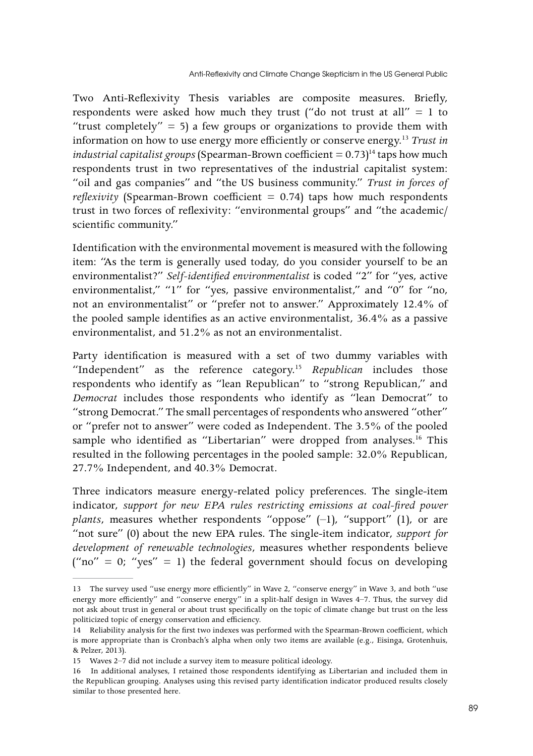Two Anti-Reflexivity Thesis variables are composite measures. Briefly, respondents were asked how much they trust ("do not trust at all"  $= 1$  to "trust completely" = 5) a few groups or organizations to provide them with information on how to use energy more efficiently or conserve energy.13 *Trust in industrial capitalist groups* (Spearman-Brown coefficient  $= 0.73$ )<sup>14</sup> taps how much respondents trust in two representatives of the industrial capitalist system: "oil and gas companies" and "the US business community." *Trust in forces of reflexivity* (Spearman-Brown coefficient  $= 0.74$ ) taps how much respondents trust in two forces of reflexivity: "environmental groups" and "the academic/ scientific community."

Identification with the environmental movement is measured with the following item: "As the term is generally used today, do you consider yourself to be an environmentalist?" *Self-identified environmentalist* is coded "2" for "yes, active environmentalist," "1" for "yes, passive environmentalist," and "0" for "no, not an environmentalist" or "prefer not to answer." Approximately 12.4% of the pooled sample identifies as an active environmentalist, 36.4% as a passive environmentalist, and 51.2% as not an environmentalist.

Party identification is measured with a set of two dummy variables with "Independent" as the reference category.15 *Republican* includes those respondents who identify as "lean Republican" to "strong Republican," and *Democrat* includes those respondents who identify as "lean Democrat" to "strong Democrat." The small percentages of respondents who answered "other" or "prefer not to answer" were coded as Independent. The 3.5% of the pooled sample who identified as "Libertarian" were dropped from analyses.<sup>16</sup> This resulted in the following percentages in the pooled sample: 32.0% Republican, 27.7% Independent, and 40.3% Democrat.

Three indicators measure energy-related policy preferences. The single-item indicator, *support for new EPA rules restricting emissions at coal-fired power plants*, measures whether respondents "oppose"  $(-1)$ , "support"  $(1)$ , or are "not sure" (0) about the new EPA rules. The single-item indicator, *support for development of renewable technologies*, measures whether respondents believe ("no" = 0; "yes" = 1) the federal government should focus on developing

<sup>13</sup> The survey used "use energy more efficiently" in Wave 2, "conserve energy" in Wave 3, and both "use energy more efficiently" and "conserve energy" in a split-half design in Waves 4–7. Thus, the survey did not ask about trust in general or about trust specifically on the topic of climate change but trust on the less politicized topic of energy conservation and efficiency.

<sup>14</sup> Reliability analysis for the first two indexes was performed with the Spearman-Brown coefficient, which is more appropriate than is Cronbach's alpha when only two items are available (e.g., Eisinga, Grotenhuis, & Pelzer, 2013).

<sup>15</sup> Waves 2–7 did not include a survey item to measure political ideology.

<sup>16</sup> In additional analyses, I retained those respondents identifying as Libertarian and included them in the Republican grouping. Analyses using this revised party identification indicator produced results closely similar to those presented here.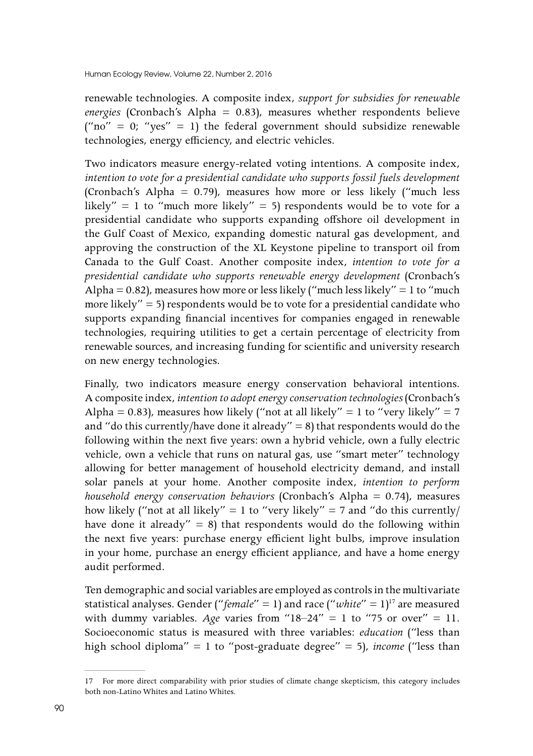renewable technologies. A composite index, *support for subsidies for renewable energies* (Cronbach's Alpha = 0.83), measures whether respondents believe ("no" = 0; "yes" = 1) the federal government should subsidize renewable technologies, energy efficiency, and electric vehicles.

Two indicators measure energy-related voting intentions. A composite index, *intention to vote for a presidential candidate who supports fossil fuels development* (Cronbach's Alpha = 0.79), measures how more or less likely ("much less likely" = 1 to "much more likely" = 5) respondents would be to vote for a presidential candidate who supports expanding offshore oil development in the Gulf Coast of Mexico, expanding domestic natural gas development, and approving the construction of the XL Keystone pipeline to transport oil from Canada to the Gulf Coast. Another composite index, *intention to vote for a presidential candidate who supports renewable energy development* (Cronbach's Alpha = 0.82), measures how more or less likely ("much less likely" = 1 to "much" more likely" = 5) respondents would be to vote for a presidential candidate who supports expanding financial incentives for companies engaged in renewable technologies, requiring utilities to get a certain percentage of electricity from renewable sources, and increasing funding for scientific and university research on new energy technologies.

Finally, two indicators measure energy conservation behavioral intentions. A composite index, *intention to adopt energy conservation technologies* (Cronbach's Alpha = 0.83), measures how likely ("not at all likely" = 1 to "very likely" = 7 and "do this currently/have done it already" = 8) that respondents would do the following within the next five years: own a hybrid vehicle, own a fully electric vehicle, own a vehicle that runs on natural gas, use "smart meter" technology allowing for better management of household electricity demand, and install solar panels at your home. Another composite index, *intention to perform household energy conservation behaviors* (Cronbach's Alpha = 0.74), measures how likely ("not at all likely" = 1 to "very likely" = 7 and "do this currently/ have done it already" =  $8$ ) that respondents would do the following within the next five years: purchase energy efficient light bulbs, improve insulation in your home, purchase an energy efficient appliance, and have a home energy audit performed.

Ten demographic and social variables are employed as controls in the multivariate statistical analyses. Gender ("*female*" = 1) and race ("*white*" =  $1$ )<sup>17</sup> are measured with dummy variables. *Age* varies from "18–24" = 1 to "75 or over" = 11. Socioeconomic status is measured with three variables: *education* ("less than high school diploma" = 1 to "post-graduate degree" = 5), *income* ("less than

<sup>17</sup> For more direct comparability with prior studies of climate change skepticism, this category includes both non-Latino Whites and Latino Whites.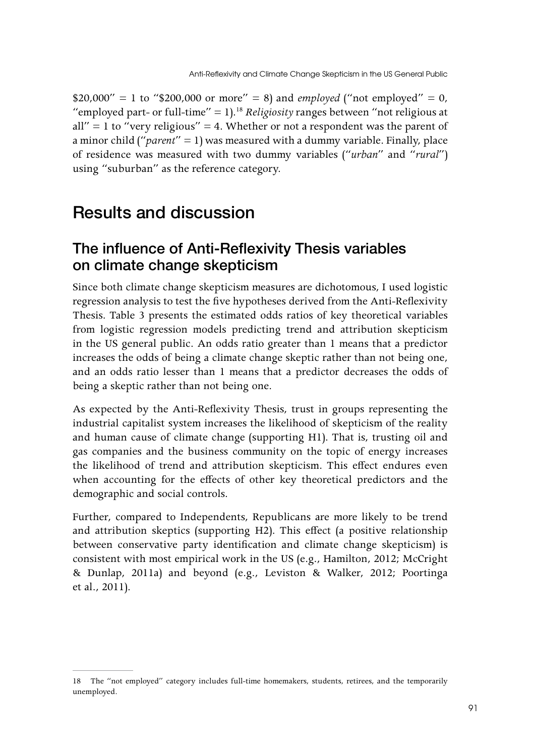\$20,000" = 1 to "\$200,000 or more" = 8) and *employed* ("not employed" = 0, "employed part- or full-time" = 1).<sup>18</sup> *Religiosity* ranges between "not religious at  $all'' = 1$  to "very religious" = 4. Whether or not a respondent was the parent of a minor child ("*parent*" = 1) was measured with a dummy variable. Finally, place of residence was measured with two dummy variables ("*urban*" and "*rural*") using "suburban" as the reference category.

## Results and discussion

### The influence of Anti-Reflexivity Thesis variables on climate change skepticism

Since both climate change skepticism measures are dichotomous, I used logistic regression analysis to test the five hypotheses derived from the Anti-Reflexivity Thesis. Table 3 presents the estimated odds ratios of key theoretical variables from logistic regression models predicting trend and attribution skepticism in the US general public. An odds ratio greater than 1 means that a predictor increases the odds of being a climate change skeptic rather than not being one, and an odds ratio lesser than 1 means that a predictor decreases the odds of being a skeptic rather than not being one.

As expected by the Anti-Reflexivity Thesis, trust in groups representing the industrial capitalist system increases the likelihood of skepticism of the reality and human cause of climate change (supporting H1). That is, trusting oil and gas companies and the business community on the topic of energy increases the likelihood of trend and attribution skepticism. This effect endures even when accounting for the effects of other key theoretical predictors and the demographic and social controls.

Further, compared to Independents, Republicans are more likely to be trend and attribution skeptics (supporting H2). This effect (a positive relationship between conservative party identification and climate change skepticism) is consistent with most empirical work in the US (e.g., Hamilton, 2012; McCright & Dunlap, 2011a) and beyond (e.g., Leviston & Walker, 2012; Poortinga et al., 2011).

<sup>18</sup> The "not employed" category includes full-time homemakers, students, retirees, and the temporarily unemployed.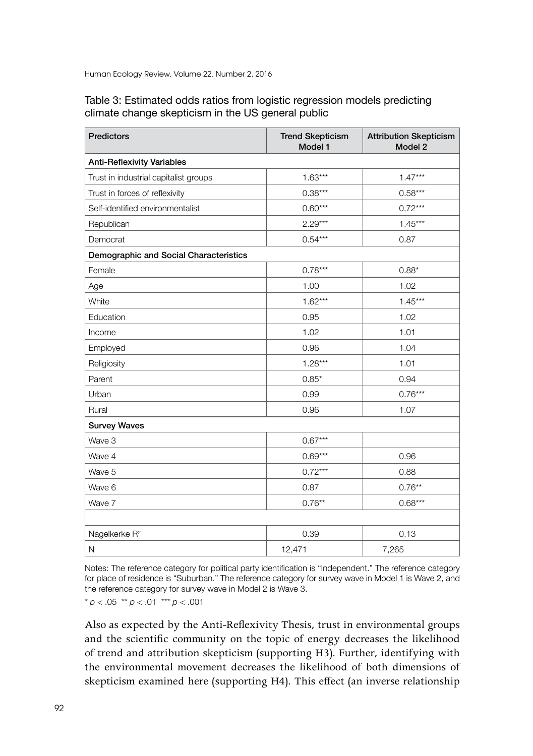| Table 3: Estimated odds ratios from logistic regression models predicting |
|---------------------------------------------------------------------------|
| climate change skepticism in the US general public                        |

| <b>Predictors</b>                      | <b>Trend Skepticism</b><br>Model 1 | <b>Attribution Skepticism</b><br>Model 2 |
|----------------------------------------|------------------------------------|------------------------------------------|
| <b>Anti-Reflexivity Variables</b>      |                                    |                                          |
| Trust in industrial capitalist groups  | $1.63***$                          | $1.47***$                                |
| Trust in forces of reflexivity         | $0.38***$                          | $0.58***$                                |
| Self-identified environmentalist       | $0.60***$                          | $0.72***$                                |
| Republican                             | $2.29***$                          | $1.45***$                                |
| Democrat                               | $0.54***$                          | 0.87                                     |
| Demographic and Social Characteristics |                                    |                                          |
| Female                                 | $0.78***$                          | $0.88*$                                  |
| Age                                    | 1.00                               | 1.02                                     |
| White                                  | $1.62***$                          | $1.45***$                                |
| Education                              | 0.95                               | 1.02                                     |
| Income                                 | 1.02                               | 1.01                                     |
| Employed                               | 0.96                               | 1.04                                     |
| Religiosity                            | $1.28***$                          | 1.01                                     |
| Parent                                 | $0.85*$                            | 0.94                                     |
| Urban                                  | 0.99                               | $0.76***$                                |
| Rural                                  | 0.96                               | 1.07                                     |
| <b>Survey Waves</b>                    |                                    |                                          |
| Wave 3                                 | $0.67***$                          |                                          |
| Wave 4                                 | $0.69***$                          | 0.96                                     |
| Wave 5                                 | $0.72***$                          | 0.88                                     |
| Wave 6                                 | 0.87                               | $0.76**$                                 |
| Wave 7                                 | $0.76**$                           | $0.68***$                                |
|                                        |                                    |                                          |
| Nagelkerke R <sup>2</sup>              | 0.39                               | 0.13                                     |
| $\mathsf{N}$                           | 12,471                             | 7,265                                    |

Notes: The reference category for political party identification is "Independent." The reference category for place of residence is "Suburban." The reference category for survey wave in Model 1 is Wave 2, and the reference category for survey wave in Model 2 is Wave 3.

 $p < .05$  \*\* *p* < .01 \*\*\* *p* < .001

Also as expected by the Anti-Reflexivity Thesis, trust in environmental groups and the scientific community on the topic of energy decreases the likelihood of trend and attribution skepticism (supporting H3). Further, identifying with the environmental movement decreases the likelihood of both dimensions of skepticism examined here (supporting H4). This effect (an inverse relationship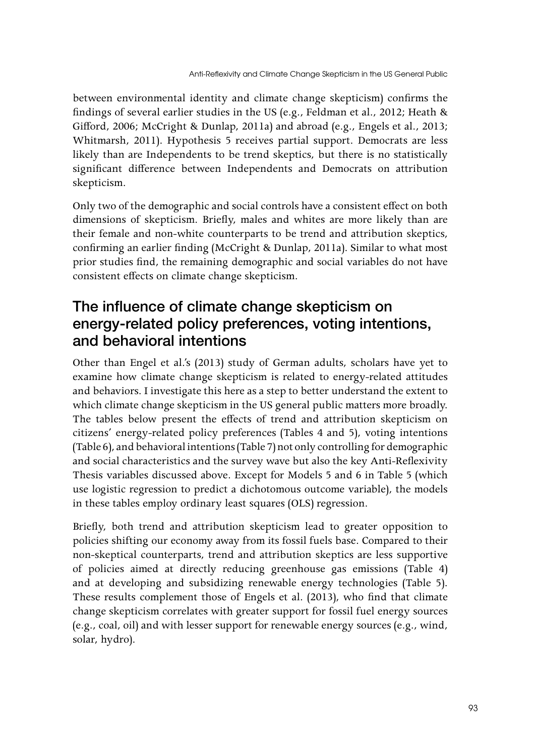between environmental identity and climate change skepticism) confirms the findings of several earlier studies in the US (e.g., Feldman et al., 2012; Heath & Gifford, 2006; McCright & Dunlap, 2011a) and abroad (e.g., Engels et al., 2013; Whitmarsh, 2011). Hypothesis 5 receives partial support. Democrats are less likely than are Independents to be trend skeptics, but there is no statistically significant difference between Independents and Democrats on attribution skepticism.

Only two of the demographic and social controls have a consistent effect on both dimensions of skepticism. Briefly, males and whites are more likely than are their female and non-white counterparts to be trend and attribution skeptics, confirming an earlier finding (McCright & Dunlap, 2011a). Similar to what most prior studies find, the remaining demographic and social variables do not have consistent effects on climate change skepticism.

### The influence of climate change skepticism on energy-related policy preferences, voting intentions, and behavioral intentions

Other than Engel et al.'s (2013) study of German adults, scholars have yet to examine how climate change skepticism is related to energy-related attitudes and behaviors. I investigate this here as a step to better understand the extent to which climate change skepticism in the US general public matters more broadly. The tables below present the effects of trend and attribution skepticism on citizens' energy-related policy preferences (Tables 4 and 5), voting intentions (Table 6), and behavioral intentions (Table 7) not only controlling for demographic and social characteristics and the survey wave but also the key Anti-Reflexivity Thesis variables discussed above. Except for Models 5 and 6 in Table 5 (which use logistic regression to predict a dichotomous outcome variable), the models in these tables employ ordinary least squares (OLS) regression.

Briefly, both trend and attribution skepticism lead to greater opposition to policies shifting our economy away from its fossil fuels base. Compared to their non-skeptical counterparts, trend and attribution skeptics are less supportive of policies aimed at directly reducing greenhouse gas emissions (Table 4) and at developing and subsidizing renewable energy technologies (Table 5). These results complement those of Engels et al. (2013), who find that climate change skepticism correlates with greater support for fossil fuel energy sources (e.g., coal, oil) and with lesser support for renewable energy sources (e.g., wind, solar, hydro).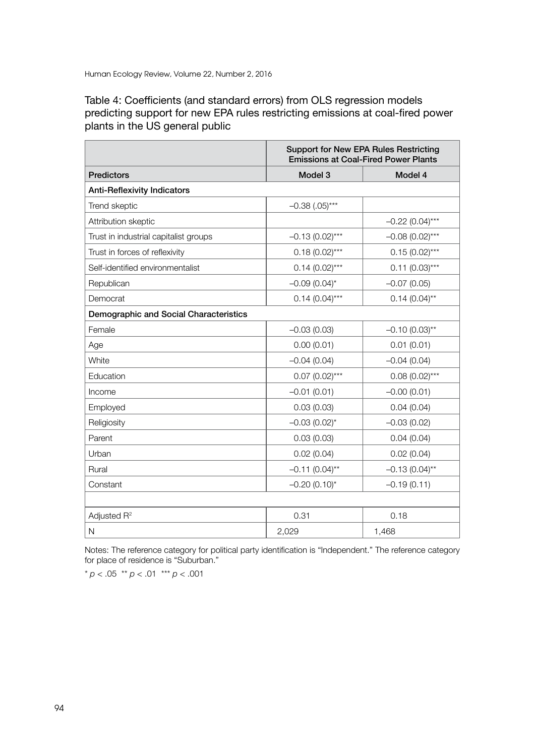Human Ecology Review, Volume 22, Number 2, 2016

Table 4: Coefficients (and standard errors) from OLS regression models predicting support for new EPA rules restricting emissions at coal-fired power plants in the US general public

|                                        |                   | Support for New EPA Rules Restricting<br><b>Emissions at Coal-Fired Power Plants</b> |
|----------------------------------------|-------------------|--------------------------------------------------------------------------------------|
| <b>Predictors</b>                      | Model 3           | Model 4                                                                              |
| <b>Anti-Reflexivity Indicators</b>     |                   |                                                                                      |
| Trend skeptic                          | $-0.38$ (.05)***  |                                                                                      |
| Attribution skeptic                    |                   | $-0.22(0.04)$ ***                                                                    |
| Trust in industrial capitalist groups  | $-0.13(0.02)$ *** | $-0.08(0.02)$ ***                                                                    |
| Trust in forces of reflexivity         | $0.18(0.02)$ ***  | $0.15(0.02)***$                                                                      |
| Self-identified environmentalist       | $0.14(0.02)***$   | $0.11(0.03)***$                                                                      |
| Republican                             | $-0.09(0.04)$ *   | $-0.07(0.05)$                                                                        |
| Democrat                               | $0.14(0.04)$ ***  | $0.14(0.04)$ **                                                                      |
| Demographic and Social Characteristics |                   |                                                                                      |
| Female                                 | $-0.03(0.03)$     | $-0.10(0.03)$ **                                                                     |
| Age                                    | 0.00(0.01)        | 0.01(0.01)                                                                           |
| White                                  | $-0.04(0.04)$     | $-0.04(0.04)$                                                                        |
| Education                              | $0.07(0.02)***$   | $0.08(0.02)***$                                                                      |
| Income                                 | $-0.01(0.01)$     | $-0.00(0.01)$                                                                        |
| Employed                               | 0.03(0.03)        | 0.04(0.04)                                                                           |
| Religiosity                            | $-0.03(0.02)$ *   | $-0.03(0.02)$                                                                        |
| Parent                                 | 0.03(0.03)        | 0.04(0.04)                                                                           |
| Urban                                  | 0.02(0.04)        | 0.02(0.04)                                                                           |
| Rural                                  | $-0.11(0.04)$ **  | $-0.13(0.04)$ **                                                                     |
| Constant                               | $-0.20(0.10)$ *   | $-0.19(0.11)$                                                                        |
|                                        |                   |                                                                                      |
| Adjusted R <sup>2</sup>                | 0.31              | 0.18                                                                                 |
| N                                      | 2,029             | 1,468                                                                                |

Notes: The reference category for political party identification is "Independent." The reference category for place of residence is "Suburban."

 $* p < .05 ** p < .01 ** p < .001$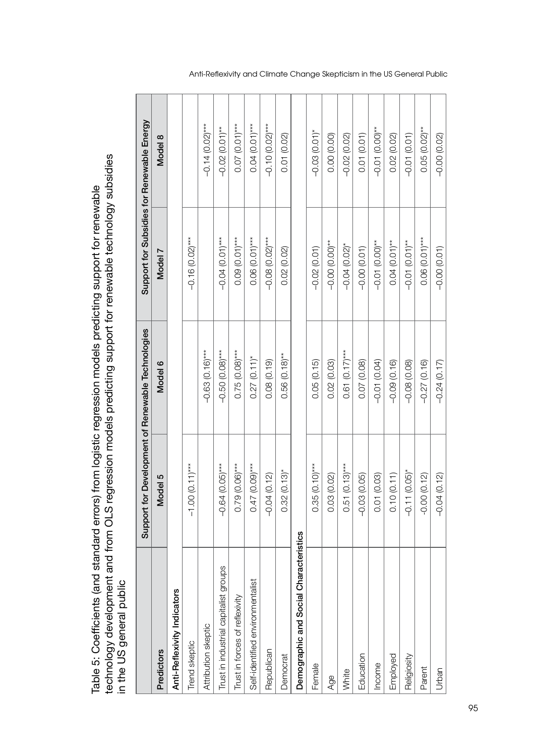| $\mathbf$                                                                                                  | のこの                                                                                                  |                                                                                                                                             |
|------------------------------------------------------------------------------------------------------------|------------------------------------------------------------------------------------------------------|---------------------------------------------------------------------------------------------------------------------------------------------|
| Table 5: Coefficients (and standard errors) from logistic regression models predicting support for renewal | technology development and from OLS regression models predicting support for renewable technology si | in the IIS aeneral public<br>- אינו האינו האינו האינו האינו האינו האינו האינו האינו האינו האינו האינו האינו האינו האינו האינו האינו האינו ה |

|                                           |                   | Support for Development of Renewable Technologies | Support for Subsidies for Renewable Energy |                   |
|-------------------------------------------|-------------------|---------------------------------------------------|--------------------------------------------|-------------------|
| Predictors                                | Model 5           | Model 6                                           | Model 7                                    | Model 8           |
| Anti-Reflexivity Indicators               |                   |                                                   |                                            |                   |
| Trend skeptic                             | $-1.00(0.11)$ *** |                                                   | $-0.16(0.02)$ ***                          |                   |
| Attribution skeptic                       |                   | $-0.63(0.16)***$                                  |                                            | $-0.14(0.02)$ *** |
| ps<br>Trust in industrial capitalist grou | $-0.64(0.05)$ *** | $-0.50(0.08)***$                                  | $-0.04(0.01)$ ***                          | $-0.02(0.01)$ **  |
| Trust in forces of reflexivity            | $0.79(0.06)***$   | $0.75(0.08)***$                                   | $0.09(0.01)***$                            | $0.07(0.01)$ ***  |
| Self-identified environmentalist          | $0.47(0.09***)$   | $0.27(0.11)^*$                                    | $0.06(0.01)***$                            | $0.04(0.01)***$   |
| Republican                                | $-0.04(0.12)$     | 0.08(0.19)                                        | $-0.08$ (0.02)***                          | $-0.10(0.02)***$  |
| Democrat                                  | $0.32(0.13)$ *    | $0.56(0.18)$ **                                   | 0.02(0.02)                                 | 0.01(0.02)        |
| Demographic and Social Characteristics    |                   |                                                   |                                            |                   |
| Female                                    | $0.35(0.10)$ ***  | 0.05(0.15)                                        | $-0.02(0.01)$                              | $-0.03(0.01)^*$   |
| Age                                       | 0.03 (0.02)       | 0.02(0.03)                                        | $-0.00(0.00)*$                             | 0.00 (0.00)       |
| White                                     | $0.51(0.13)***$   | $0.61(0.17)$ ***                                  | $-0.04(0.02)$                              | $-0.02(0.02)$     |
| Education                                 | $-0.03(0.05)$     | 0.07(0.08)                                        | $-0.00(0.01)$                              | 0.01(0.01)        |
| Income                                    | 0.01 (0.03)       | $-0.01(0.04)$                                     | $-0.01$ (0.00 <sup>**</sup>                | $-0.01(0.00)$ **  |
| Employed                                  | 0.10(0.11)        | $-0.09(0.16)$                                     | $0.04(0.01)$ **                            | 0.02(0.02)        |
| Religiosity                               | $-0.11(0.05)$ *   | $-0.08(0.08)$                                     | $-0.01(0.01)$ **                           | $-0.01(0.01)$     |
| Parent                                    | $-0.00(0.12)$     | $-0.27(0.16)$                                     | $0.06(0.01)***$                            | $0.05(0.02)$ **   |
| Urban                                     | $-0.04(0.12)$     | $-0.24(0.17)$                                     | $-0.00(0.01)$                              | $-0.00(0.02)$     |

Anti-Reflexivity and Climate Change Skepticism in the US General Public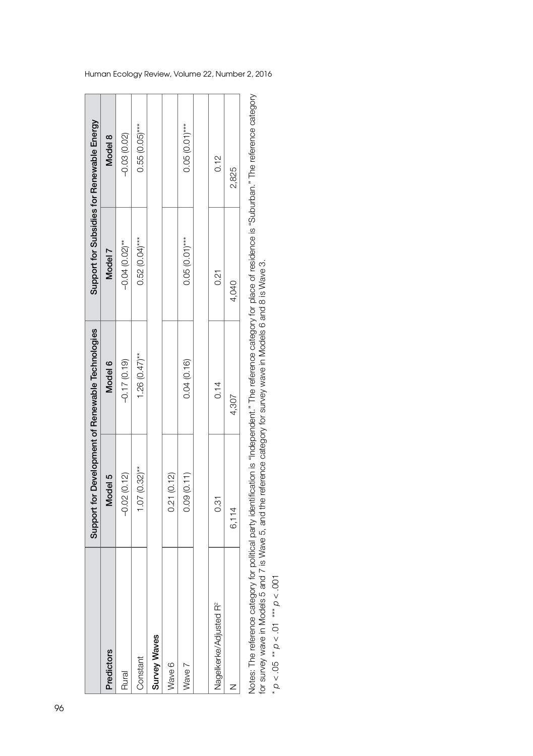|                                                                        |                  | Support for Development of Renewable Technologies                                  |                  | Support for Subsidies for Renewable Energy                                                                                           |
|------------------------------------------------------------------------|------------------|------------------------------------------------------------------------------------|------------------|--------------------------------------------------------------------------------------------------------------------------------------|
| Predictors                                                             | Model 5          | Model 6                                                                            | Model 7          | Model 8                                                                                                                              |
| Rural                                                                  | $-0.02(0.12)$    | $-0.17(0.19)$                                                                      | $-0.04(0.02)$ ** | $-0.03(0.02)$                                                                                                                        |
| Constant                                                               | $1.07 (0.32)$ ** | $1.26(0.47)$ **                                                                    | $0.52(0.04)***$  | $0.55(0.05)$ ***                                                                                                                     |
| <b>Survey Waves</b>                                                    |                  |                                                                                    |                  |                                                                                                                                      |
| Nave 6                                                                 | 0.21(0.12)       |                                                                                    |                  |                                                                                                                                      |
| Wave 7                                                                 | 0.09(0.11)       | 0.04(0.16)                                                                         | $0.05(0.01)$ *** | $0.05(0.01)$ ***                                                                                                                     |
|                                                                        |                  |                                                                                    |                  |                                                                                                                                      |
| Nagelkerke/Adjusted R <sup>2</sup>                                     | 0.31             | 0.14                                                                               | 0.21             | 0.12                                                                                                                                 |
|                                                                        | 6,114            | 4,307                                                                              | 4,040            | 2,825                                                                                                                                |
| Notes: The reference category for<br>for survey wave in Models 5 and 7 |                  | is Wave 5, and the reference category for survey wave in Models 6 and 8 is Wave 3. |                  | political party identification is "Independent." The reference category for place of residence is "Suburban." The reference category |
| $P_{\rho}$ < .05 $^{**}$ p < .01 $^{***}$ p < .001                     |                  |                                                                                    |                  |                                                                                                                                      |

Human Ecology Review, Volume 22, Number 2, 2016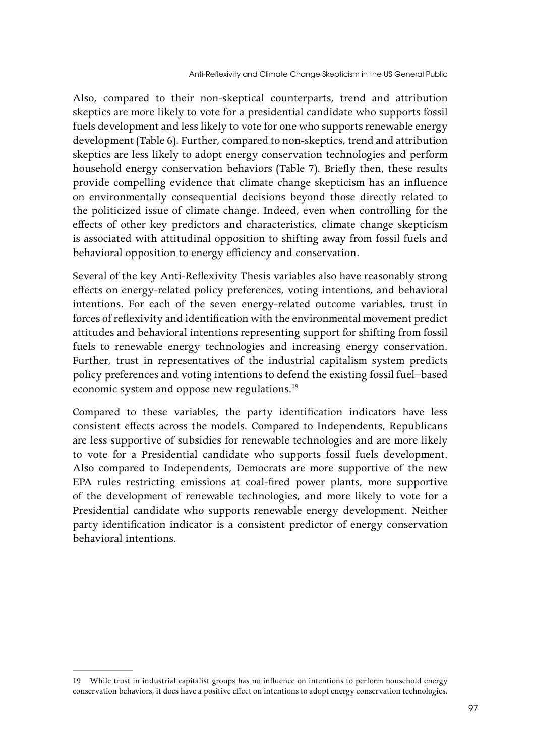Also, compared to their non-skeptical counterparts, trend and attribution skeptics are more likely to vote for a presidential candidate who supports fossil fuels development and less likely to vote for one who supports renewable energy development (Table 6). Further, compared to non-skeptics, trend and attribution skeptics are less likely to adopt energy conservation technologies and perform household energy conservation behaviors (Table 7). Briefly then, these results provide compelling evidence that climate change skepticism has an influence on environmentally consequential decisions beyond those directly related to the politicized issue of climate change. Indeed, even when controlling for the effects of other key predictors and characteristics, climate change skepticism is associated with attitudinal opposition to shifting away from fossil fuels and behavioral opposition to energy efficiency and conservation.

Several of the key Anti-Reflexivity Thesis variables also have reasonably strong effects on energy-related policy preferences, voting intentions, and behavioral intentions. For each of the seven energy-related outcome variables, trust in forces of reflexivity and identification with the environmental movement predict attitudes and behavioral intentions representing support for shifting from fossil fuels to renewable energy technologies and increasing energy conservation. Further, trust in representatives of the industrial capitalism system predicts policy preferences and voting intentions to defend the existing fossil fuel–based economic system and oppose new regulations.<sup>19</sup>

Compared to these variables, the party identification indicators have less consistent effects across the models. Compared to Independents, Republicans are less supportive of subsidies for renewable technologies and are more likely to vote for a Presidential candidate who supports fossil fuels development. Also compared to Independents, Democrats are more supportive of the new EPA rules restricting emissions at coal-fired power plants, more supportive of the development of renewable technologies, and more likely to vote for a Presidential candidate who supports renewable energy development. Neither party identification indicator is a consistent predictor of energy conservation behavioral intentions.

<sup>19</sup> While trust in industrial capitalist groups has no influence on intentions to perform household energy conservation behaviors, it does have a positive effect on intentions to adopt energy conservation technologies.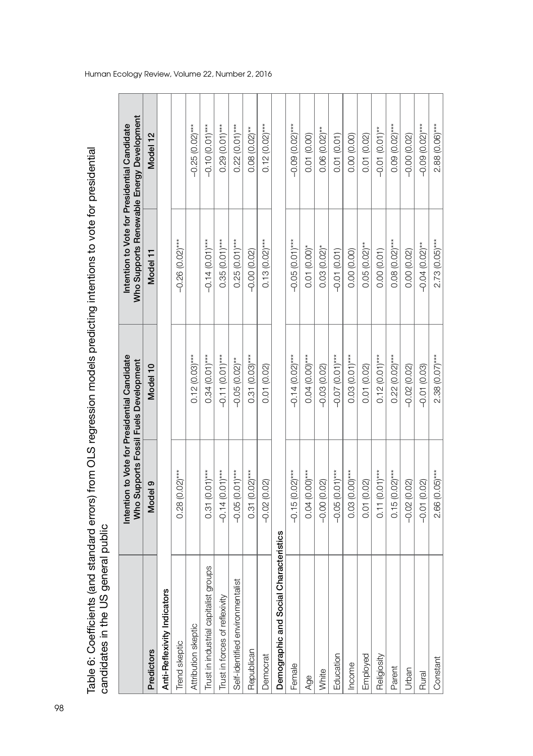| ¢                                                                                                            |                               |
|--------------------------------------------------------------------------------------------------------------|-------------------------------|
| )<br>)<br>!                                                                                                  |                               |
| com 10 marzo de la propincia de la propincia de la construcción de la marzo de la contra la<br>$\frac{1}{2}$ |                               |
| ううりつ ディーソーソー<br>،<br>;                                                                                       |                               |
| $\frac{1}{2}$<br>$\frac{1}{2}$<br>こり ひとりょう ありかんこう りょうりゅう<br>)<br>)                                           |                               |
| 5<br>5<br>5<br>5<br>5<br>j<br>،<br>امام<br>ı<br>$\frac{2}{3}$                                                | )<br>)<br>)<br>ĺ<br>くらい<br>डु |

|                                       |                   | Intention to Vote for Presidential Candidate<br>Who Supports Fossil Fuels Development | Who Supports Renewable Energy Development<br>Intention to Vote for Presidential Candidate |                   |
|---------------------------------------|-------------------|---------------------------------------------------------------------------------------|-------------------------------------------------------------------------------------------|-------------------|
| Predictors                            | Model 9           | Model 10                                                                              | Model 11                                                                                  | Model 12          |
| Anti-Reflexivity Indicators           |                   |                                                                                       |                                                                                           |                   |
| Trend skeptic                         | $0.28(0.02)***$   |                                                                                       | $-0.26(0.02)$ ***                                                                         |                   |
| Attribution skeptic                   |                   | $0.12(0.03)***$                                                                       |                                                                                           | $-0.25$ (0.02)*** |
| Trust in industrial capitalist groups | $0.31(0.01)***$   | $0.34(0.01)***$                                                                       | $-0.14(0.01)$ ***                                                                         | $-0.10000$        |
| Trust in forces of reflexivity        | $-0.14(0.01)$ *** | $-0.11(0.01)$ ***                                                                     | $0.35(0.01)$ ***                                                                          | $0.29(0.01)***$   |
| Self-identified environmentalist      | $-0.05(0.01)$ *** | $-0.05(0.02)$ **                                                                      | $0.25(0.01)***$                                                                           | $0.22(0.01)***$   |
| Republican                            | $0.31(0.02)***$   | $0.31$ (0.03)***                                                                      | $-0.00(0.02)$                                                                             | $0.08(0.02)$ **   |
| Democrat                              | $-0.02(0.02)$     | 0.01(0.02)                                                                            | $0.13(0.02)$ ***                                                                          | $0.12(0.02)***$   |
| Demographic and Social Chara          | cteristics        |                                                                                       |                                                                                           |                   |
| Female                                | $-0.15(0.02)$ *** | $-0.14(0.02)***$                                                                      | $-0.05(0.01)$ ***                                                                         | $-0.09$ (0.02)*** |
| Age                                   | $0.04(0.00)$ ***  | $0.04(0.00)$ ***                                                                      | $0.01(0.00)*$                                                                             | 0.01 (0.00)       |
| White                                 | $-0.00(0.02)$     | $-0.03(0.02)$                                                                         | $0.03(0.02)^*$                                                                            | $0.06(0.02)$ **   |
| Education                             | $-0.05(0.01)$ *** | $-0.07(0.01)$ ***                                                                     | $-0.01(0.01)$                                                                             | 0.01 (0.01)       |
| Income                                | $0.03(0.00)$ ***  | $0.03(0.01)***$                                                                       | 0.00 (0.00)                                                                               | 0.00 (0.00)       |
| Employed                              | 0.01 (0.02)       | 0.01 (0.02)                                                                           | $0.05(0.02)$ **                                                                           | 0.01 (0.02)       |
| Religiosity                           | $0.11(0.01)$ ***  | $0.12(0.01)***$                                                                       | 0.00 (0.01)                                                                               | $-0.01(0.01)$ **  |
| Parent                                | $0.15(0.02)***$   | $0.22(0.02)***$                                                                       | $0.08(0.02)$ ***                                                                          | $0.09(0.02)$ ***  |
| Urban                                 | $-0.02(0.02)$     | $-0.02(0.02)$                                                                         | 0.00 (0.02)                                                                               | $-0.00(0.02)$     |
| Rural                                 | $-0.01(0.02)$     | $-0.01(0.03)$                                                                         | $-0.04(0.02)$ **                                                                          | $-0.09(0.02)$ *** |
| Constant                              | 2.66 (0.05)***    | $2.38(0.07)***$                                                                       | $2.73(0.05)***$                                                                           | 2.88 (0.06)***    |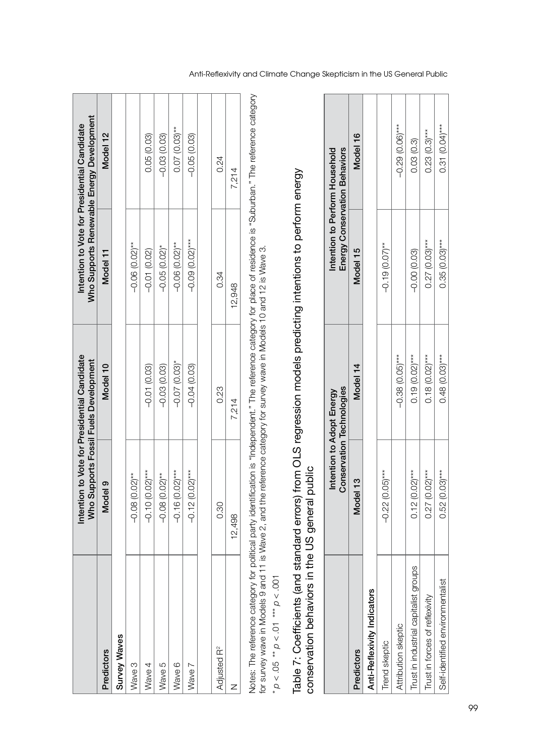|                         |                                                      | Intention to Vote for Presidential Candidate<br>Who Supports Fossil Fuels Development | Who Supports Renewable Energy Development | Intention to Vote for Presidential Candidate |
|-------------------------|------------------------------------------------------|---------------------------------------------------------------------------------------|-------------------------------------------|----------------------------------------------|
| Predictors              | Model <sub>9</sub>                                   | Model 10                                                                              | Model 11                                  | Model 12                                     |
| <b>Survey Waves</b>     |                                                      |                                                                                       |                                           |                                              |
| Vave 3                  | $-0.08$ (0.02) <sup>**</sup>                         |                                                                                       | $-0.06(0.02)$ **                          |                                              |
| Vave 4                  | $-0.10(0.02)$ ***                                    | $-0.01(0.03)$                                                                         | $-0.01(0.02)$                             | 0.05(0.03)                                   |
| Nave 5                  | $-0.08$ $(0.02)$ **                                  | $-0.03(0.03)$                                                                         | $-0.05(0.02)^*$                           | $-0.03(0.03)$                                |
| Nave 6                  | $-0.16(0.02)$ ***                                    | $-0.07(0.03)$ *                                                                       | $-0.06(0.02)$ **                          | $0.07(0.03)$ **                              |
| Nave 7                  | $-0.12(0.02)$ ***                                    | $-0.04(0.03)$                                                                         | $-0.09(0.02)$ ***                         | $-0.05(0.03)$                                |
|                         |                                                      |                                                                                       |                                           |                                              |
| Adjusted R <sup>2</sup> | 0.30                                                 | 0.23                                                                                  | 0.34                                      | 0.24                                         |
|                         | 12,498                                               | 7,214                                                                                 | 12,948                                    | 7,214                                        |
|                         | 「このことは、「日本のことは、「このことは、「このことは、」ということは、「このことは、「このことは、」 |                                                                                       |                                           |                                              |

Notes: The reference category for political party identification is "Independent." The reference category for place of residence is "Suburban." The reference category Notes: The reference category for political party identification is "Independent." The reference category for place of residence is "Suburban." The reference category for survey wave in Models 9 and 11 is Wave 2, and the reference category for survey wave in Models 10 and 12 is Wave 3. for survey wave in Models 9 and 11 is Wave 2, and the reference category for survey wave in Models 10 and 12 is Wave 3.

\* *p* < .05 \*\* *p* < .01 \*\*\*  $p \le 05$   $\frac{1}{2} p \le 01$   $\frac{1}{2} p \le 001$ 

Table 7: Coefficients (and standard errors) from OLS regression models predicting intentions to perform energy Table 7: Coefficients (and standard errors) from OLS regression models predicting intentions to perform energy conservation behaviors in the US general public conservation behaviors in the US general public

|                                       |                   | <b>Conservation Technologies</b><br>Intention to Adopt Energy |                  | Energy Conservation Behaviors<br>Intention to Perform Household |
|---------------------------------------|-------------------|---------------------------------------------------------------|------------------|-----------------------------------------------------------------|
| Predictors                            | Model 13          | Model 14                                                      | Model 15         | Model 16                                                        |
| Anti-Reflexivity Indicators           |                   |                                                               |                  |                                                                 |
| Trend skeptic                         | $-0.22(0.05)$ *** |                                                               | $-0.19(0.07)$ ** |                                                                 |
| Attribution skeptic                   |                   | $-0.38(0.05)$ ***                                             |                  | $-0.29(0.06)$ ***                                               |
| Trust in industrial capitalist groups | $0.12(0.02)***$   | $0.19(0.02)***$                                               | $-0.00(0.03)$    | 0.03(0.3)                                                       |
| Trust in forces of reflexivity        | $0.27(0.02)***$   | $0.18(0.02)$ ***                                              | $0.27(0.03)$ *** | $0.23(0.3)***$                                                  |
| Self-identified environmentalist      | $0.52(0.03)***$   | $0.48(0.03)***$                                               | $0.35(0.03)$ *** | $0.31(0.04)$ ***                                                |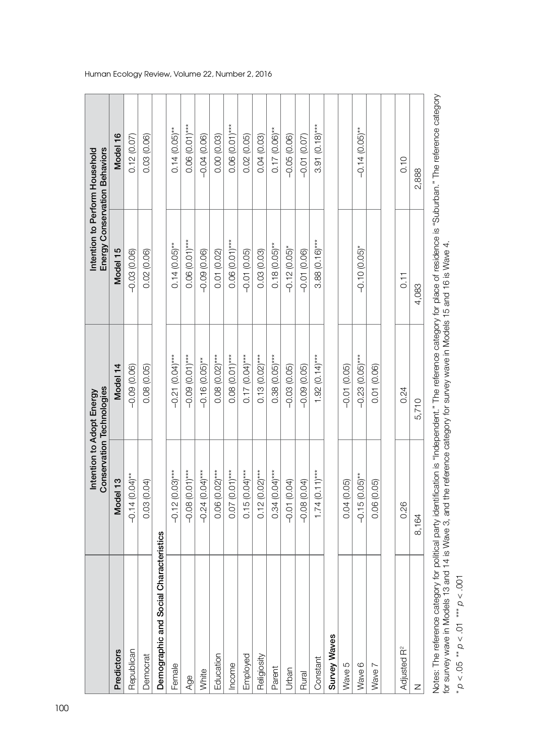|                                                                                                                                                                        |                             | <b>Conservation Technologies</b><br>Intention to Adopt Energy |                                 | Energy Conservation Behaviors<br>Intention to Perform Household |
|------------------------------------------------------------------------------------------------------------------------------------------------------------------------|-----------------------------|---------------------------------------------------------------|---------------------------------|-----------------------------------------------------------------|
| Predictors                                                                                                                                                             | Model 13                    | Model 14                                                      | Model 15                        | Model 16                                                        |
| Republican                                                                                                                                                             | $-0.14(0.04)$ **            | $-0.09(0.06)$                                                 | $-0.03(0.06)$                   | 0.12(0.07)                                                      |
| <b>Democrat</b>                                                                                                                                                        | 0.03(0.04)                  | 0.08(0.05)                                                    | 0.02(0.06)                      | 0.03(0.06)                                                      |
| Demographic and Social Characteristics                                                                                                                                 |                             |                                                               |                                 |                                                                 |
| Female                                                                                                                                                                 | $-0.12(0.03)$ ***           | $-0.21(0.04)***$                                              | $0.14(0.05)$ **                 | $0.14(0.05)$ **                                                 |
| Age                                                                                                                                                                    | $-0.08(0.01)$ ***           | $-0.09(0.01)***$                                              | $0.06(0.01)***$                 | $0.06(0.01)***$                                                 |
| White                                                                                                                                                                  | $-0.24(0.04)***$            | $-0.16(0.05)$ **                                              | $-0.09(0.06)$                   | $-0.04(0.06)$                                                   |
| Education                                                                                                                                                              | $0.06(0.02)***$             | $0.08(0.02)***$                                               | 0.01(0.02)                      | 0.00 (0.03)                                                     |
| Income                                                                                                                                                                 | $0.07(0.01)$ ***            | $0.08(0.01)$ ***                                              | $0.06(0.01)$ ***                | $0.06(0.01)***$                                                 |
| Employed                                                                                                                                                               | $0.15(0.04)***$             | $0.17(0.04)***$                                               | $-0.01(0.05)$                   | 0.02(0.05)                                                      |
| Religiosity                                                                                                                                                            | $0.12(0.02)***$             | $0.13(0.02)***$                                               | 0.03(0.03)                      | 0.04(0.03)                                                      |
| Parent                                                                                                                                                                 | $0.34(0.04)***$             | $0.38(0.05)***$                                               | $0.18(0.05)$ **                 | $0.17(0.06)$ **                                                 |
| Urban                                                                                                                                                                  | $-0.01(0.04)$               | $-0.03(0.05)$                                                 | $-0.12(0.05)$ *                 | $-0.05(0.06)$                                                   |
| Rural                                                                                                                                                                  | $-0.08(0.04)$               | $-0.09(0.05)$                                                 | $-0.01(0.06)$                   | $-0.01(0.07)$                                                   |
| Constant                                                                                                                                                               | $1.74(0.11)***$             | $1.92 (0.14)***$                                              | $3.88(0.16)***$                 | $3.91(0.18)***$                                                 |
| <b>Survey Waves</b>                                                                                                                                                    |                             |                                                               |                                 |                                                                 |
| Wave 5                                                                                                                                                                 | 0.04(0.05)                  | $-0.01(0.05)$                                                 |                                 |                                                                 |
| Wave 6                                                                                                                                                                 | $-0.15(0.05)$ <sup>**</sup> | $-0.23(0.05)***$                                              | $-0.10(0.05)$ *                 | $-0.14(0.05)$ **                                                |
| Wave 7                                                                                                                                                                 | 0.06 (0.05)                 | 0.01 (0.06)                                                   |                                 |                                                                 |
|                                                                                                                                                                        |                             |                                                               |                                 |                                                                 |
| Adjusted R <sup>2</sup>                                                                                                                                                | 0.26                        | 0.24                                                          | $\overline{0}$ . $\overline{1}$ | 0.10                                                            |
| Z                                                                                                                                                                      | 8,164                       | 5,710                                                         | 4,083                           | 2,888                                                           |
| Notes: The reference category for political party identification is "Independent." The reference category for place of residence is "Suburban." The reference category |                             |                                                               |                                 |                                                                 |

Notes: The reference category for political party identification is "Independent." The reference category for place of residence is "Suburban." The reference category ົ້ Notes: The reference category for political party identification is "Independent." The reference category for place of residence<br>for survey wave in Models 13 and 14 is Wave 3, and the reference category for survey wave in for survey wave in Models 13 and 14 is Wave 3, and the reference category for survey wave in Models 15 and 16 is Wave 4. \* *p* < .05 \*\* *p* < .01 \*\*\* *p* < .001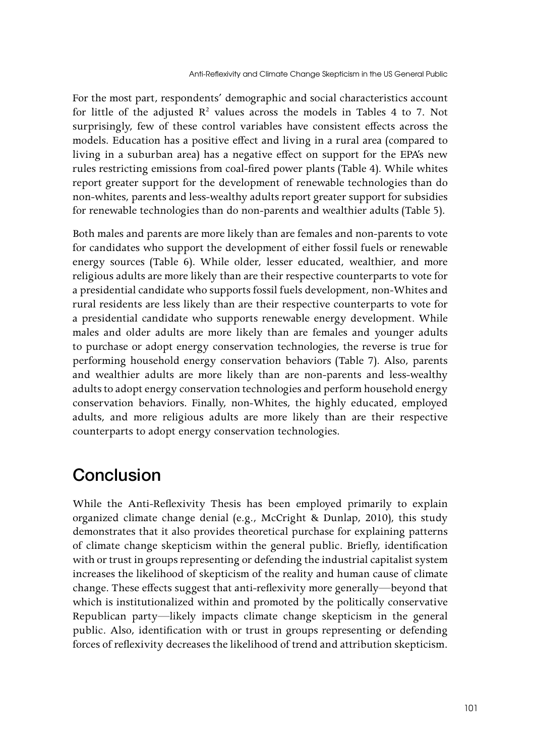For the most part, respondents' demographic and social characteristics account for little of the adjusted  $\mathbb{R}^2$  values across the models in Tables 4 to 7. Not surprisingly, few of these control variables have consistent effects across the models. Education has a positive effect and living in a rural area (compared to living in a suburban area) has a negative effect on support for the EPA's new rules restricting emissions from coal-fired power plants (Table 4). While whites report greater support for the development of renewable technologies than do non-whites, parents and less-wealthy adults report greater support for subsidies for renewable technologies than do non-parents and wealthier adults (Table 5).

Both males and parents are more likely than are females and non-parents to vote for candidates who support the development of either fossil fuels or renewable energy sources (Table 6). While older, lesser educated, wealthier, and more religious adults are more likely than are their respective counterparts to vote for a presidential candidate who supports fossil fuels development, non-Whites and rural residents are less likely than are their respective counterparts to vote for a presidential candidate who supports renewable energy development. While males and older adults are more likely than are females and younger adults to purchase or adopt energy conservation technologies, the reverse is true for performing household energy conservation behaviors (Table 7). Also, parents and wealthier adults are more likely than are non-parents and less-wealthy adults to adopt energy conservation technologies and perform household energy conservation behaviors. Finally, non-Whites, the highly educated, employed adults, and more religious adults are more likely than are their respective counterparts to adopt energy conservation technologies.

### **Conclusion**

While the Anti-Reflexivity Thesis has been employed primarily to explain organized climate change denial (e.g., McCright & Dunlap, 2010), this study demonstrates that it also provides theoretical purchase for explaining patterns of climate change skepticism within the general public. Briefly, identification with or trust in groups representing or defending the industrial capitalist system increases the likelihood of skepticism of the reality and human cause of climate change. These effects suggest that anti-reflexivity more generally—beyond that which is institutionalized within and promoted by the politically conservative Republican party—likely impacts climate change skepticism in the general public. Also, identification with or trust in groups representing or defending forces of reflexivity decreases the likelihood of trend and attribution skepticism.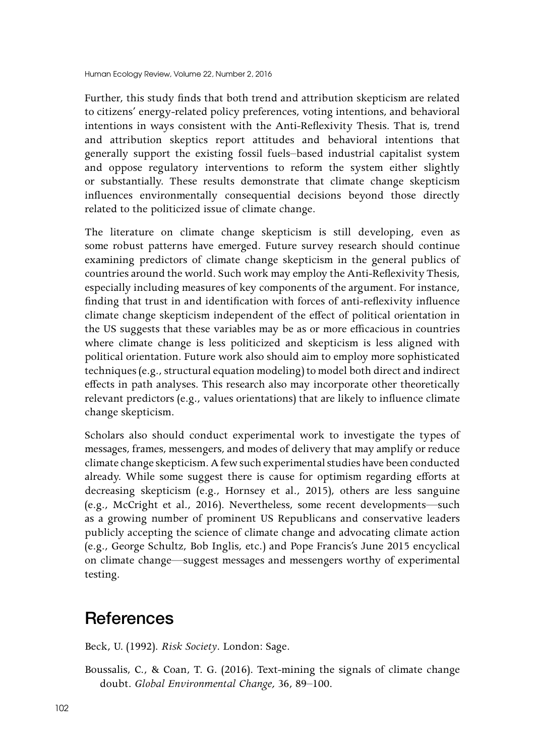Further, this study finds that both trend and attribution skepticism are related to citizens' energy-related policy preferences, voting intentions, and behavioral intentions in ways consistent with the Anti-Reflexivity Thesis. That is, trend and attribution skeptics report attitudes and behavioral intentions that generally support the existing fossil fuels–based industrial capitalist system and oppose regulatory interventions to reform the system either slightly or substantially. These results demonstrate that climate change skepticism influences environmentally consequential decisions beyond those directly related to the politicized issue of climate change.

The literature on climate change skepticism is still developing, even as some robust patterns have emerged. Future survey research should continue examining predictors of climate change skepticism in the general publics of countries around the world. Such work may employ the Anti-Reflexivity Thesis, especially including measures of key components of the argument. For instance, finding that trust in and identification with forces of anti-reflexivity influence climate change skepticism independent of the effect of political orientation in the US suggests that these variables may be as or more efficacious in countries where climate change is less politicized and skepticism is less aligned with political orientation. Future work also should aim to employ more sophisticated techniques (e.g., structural equation modeling) to model both direct and indirect effects in path analyses. This research also may incorporate other theoretically relevant predictors (e.g., values orientations) that are likely to influence climate change skepticism.

Scholars also should conduct experimental work to investigate the types of messages, frames, messengers, and modes of delivery that may amplify or reduce climate change skepticism. A few such experimental studies have been conducted already. While some suggest there is cause for optimism regarding efforts at decreasing skepticism (e.g., Hornsey et al., 2015), others are less sanguine (e.g., McCright et al., 2016). Nevertheless, some recent developments—such as a growing number of prominent US Republicans and conservative leaders publicly accepting the science of climate change and advocating climate action (e.g., George Schultz, Bob Inglis, etc.) and Pope Francis's June 2015 encyclical on climate change—suggest messages and messengers worthy of experimental testing.

## References

Beck, U. (1992). *Risk Society*. London: Sage.

Boussalis, C., & Coan, T. G. (2016). Text-mining the signals of climate change doubt. *Global Environmental Change,* 36, 89–100.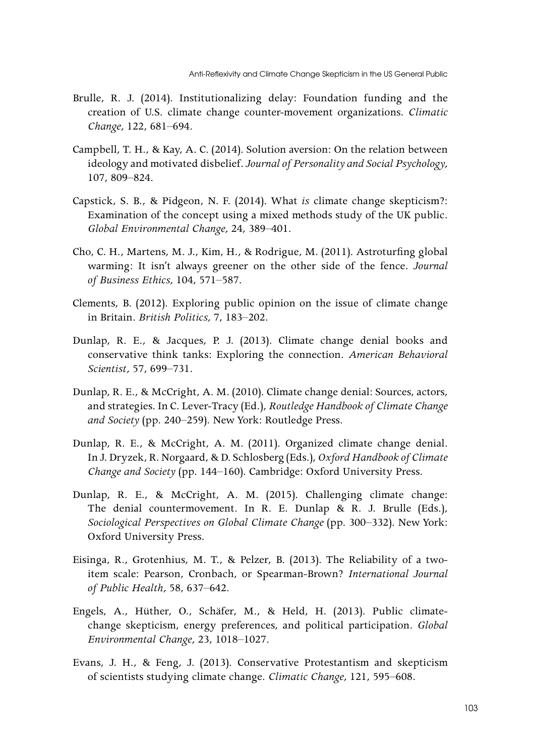- Brulle, R. J. (2014). Institutionalizing delay: Foundation funding and the creation of U.S. climate change counter-movement organizations. *Climatic Change,* 122, 681–694.
- Campbell, T. H., & Kay, A. C. (2014). Solution aversion: On the relation between ideology and motivated disbelief. *Journal of Personality and Social Psychology,* 107, 809–824.
- Capstick, S. B., & Pidgeon, N. F. (2014). What *is* climate change skepticism?: Examination of the concept using a mixed methods study of the UK public. *Global Environmental Change,* 24, 389–401.
- Cho, C. H., Martens, M. J., Kim, H., & Rodrigue, M. (2011). Astroturfing global warming: It isn't always greener on the other side of the fence. *Journal of Business Ethics,* 104, 571–587.
- Clements, B. (2012). Exploring public opinion on the issue of climate change in Britain. *British Politics,* 7, 183–202.
- Dunlap, R. E., & Jacques, P. J. (2013). Climate change denial books and conservative think tanks: Exploring the connection. *American Behavioral Scientist,* 57, 699–731.
- Dunlap, R. E., & McCright, A. M. (2010). Climate change denial: Sources, actors, and strategies. In C. Lever-Tracy (Ed.), *Routledge Handbook of Climate Change and Society* (pp. 240–259). New York: Routledge Press.
- Dunlap, R. E., & McCright, A. M. (2011). Organized climate change denial. In J. Dryzek, R. Norgaard, & D. Schlosberg (Eds.), *Oxford Handbook of Climate Change and Society* (pp. 144–160). Cambridge: Oxford University Press.
- Dunlap, R. E., & McCright, A. M. (2015). Challenging climate change: The denial countermovement. In R. E. Dunlap & R. J. Brulle (Eds.), *Sociological Perspectives on Global Climate Change* (pp. 300–332). New York: Oxford University Press.
- Eisinga, R., Grotenhius, M. T., & Pelzer, B. (2013). The Reliability of a twoitem scale: Pearson, Cronbach, or Spearman-Brown? *International Journal of Public Health,* 58, 637–642.
- Engels, A., Hüther, O., Schäfer, M., & Held, H. (2013). Public climatechange skepticism, energy preferences, and political participation. *Global Environmental Change,* 23, 1018–1027.
- Evans, J. H., & Feng, J. (2013). Conservative Protestantism and skepticism of scientists studying climate change. *Climatic Change,* 121, 595–608.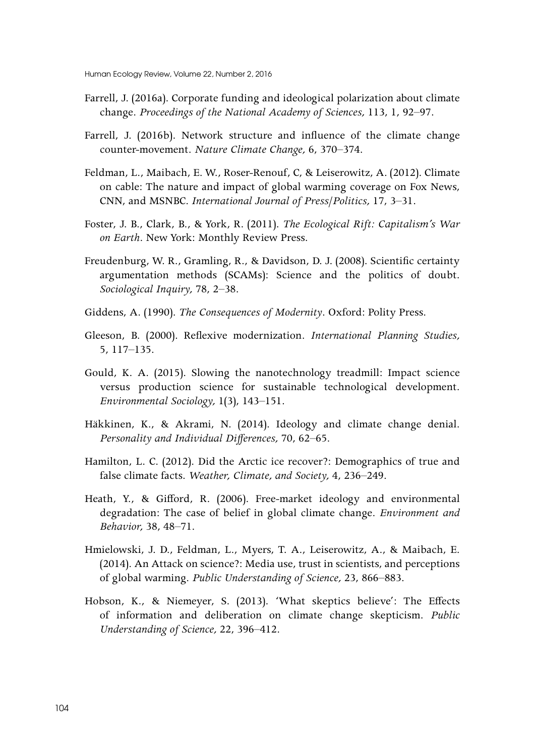- Farrell, J. (2016a). Corporate funding and ideological polarization about climate change. *Proceedings of the National Academy of Sciences,* 113, 1, 92–97.
- Farrell, J. (2016b). Network structure and influence of the climate change counter-movement. *Nature Climate Change,* 6, 370–374.
- Feldman, L., Maibach, E. W., Roser-Renouf, C, & Leiserowitz, A. (2012). Climate on cable: The nature and impact of global warming coverage on Fox News, CNN, and MSNBC. *International Journal of Press/Politics,* 17, 3–31.
- Foster, J. B., Clark, B., & York, R. (2011). *The Ecological Rift: Capitalism's War on Earth*. New York: Monthly Review Press.
- Freudenburg, W. R., Gramling, R., & Davidson, D. J. (2008). Scientific certainty argumentation methods (SCAMs): Science and the politics of doubt. *Sociological Inquiry,* 78, 2–38.
- Giddens, A. (1990). *The Consequences of Modernity*. Oxford: Polity Press.
- Gleeson, B. (2000). Reflexive modernization. *International Planning Studies,* 5, 117–135.
- Gould, K. A. (2015). Slowing the nanotechnology treadmill: Impact science versus production science for sustainable technological development. *Environmental Sociology,* 1(3), 143–151.
- Häkkinen, K., & Akrami, N. (2014). Ideology and climate change denial. *Personality and Individual Differences,* 70, 62–65.
- Hamilton, L. C. (2012). Did the Arctic ice recover?: Demographics of true and false climate facts. *Weather, Climate, and Society,* 4, 236–249.
- Heath, Y., & Gifford, R. (2006). Free-market ideology and environmental degradation: The case of belief in global climate change. *Environment and Behavior,* 38, 48–71.
- Hmielowski, J. D., Feldman, L., Myers, T. A., Leiserowitz, A., & Maibach, E. (2014). An Attack on science?: Media use, trust in scientists, and perceptions of global warming. *Public Understanding of Science,* 23, 866–883.
- Hobson, K., & Niemeyer, S. (2013). 'What skeptics believe': The Effects of information and deliberation on climate change skepticism. *Public Understanding of Science,* 22, 396–412.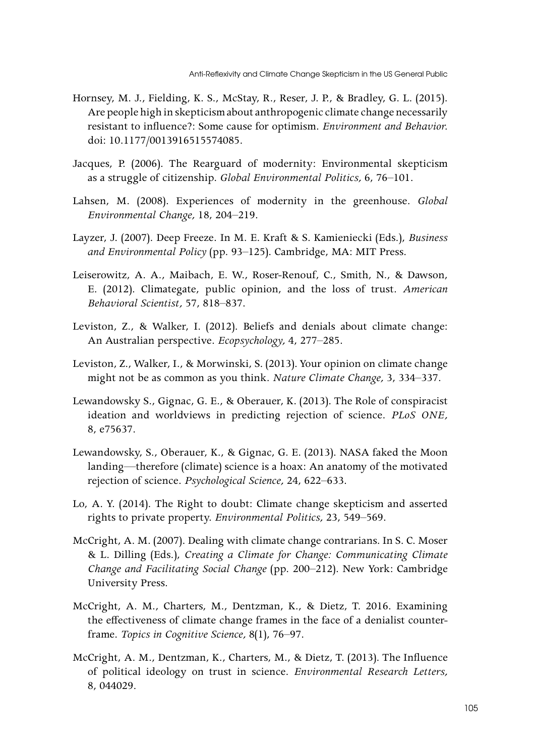- Hornsey, M. J., Fielding, K. S., McStay, R., Reser, J. P., & Bradley, G. L. (2015). Are people high in skepticism about anthropogenic climate change necessarily resistant to influence?: Some cause for optimism. *Environment and Behavior.* doi: 10.1177/0013916515574085.
- Jacques, P. (2006). The Rearguard of modernity: Environmental skepticism as a struggle of citizenship. *Global Environmental Politics,* 6, 76–101.
- Lahsen, M. (2008). Experiences of modernity in the greenhouse. *Global Environmental Change,* 18, 204–219.
- Layzer, J. (2007). Deep Freeze. In M. E. Kraft & S. Kamieniecki (Eds.), *Business and Environmental Policy* (pp. 93–125). Cambridge, MA: MIT Press.
- Leiserowitz, A. A., Maibach, E. W., Roser-Renouf, C., Smith, N., & Dawson, E. (2012). Climategate, public opinion, and the loss of trust. *American Behavioral Scientist,* 57, 818–837.
- Leviston, Z., & Walker, I. (2012). Beliefs and denials about climate change: An Australian perspective. *Ecopsychology,* 4, 277–285.
- Leviston, Z., Walker, I., & Morwinski, S. (2013). Your opinion on climate change might not be as common as you think. *Nature Climate Change,* 3, 334–337.
- Lewandowsky S., Gignac, G. E., & Oberauer, K. (2013). The Role of conspiracist ideation and worldviews in predicting rejection of science. *PLoS ONE,* 8, e75637.
- Lewandowsky, S., Oberauer, K., & Gignac, G. E. (2013). NASA faked the Moon landing—therefore (climate) science is a hoax: An anatomy of the motivated rejection of science. *Psychological Science,* 24, 622–633.
- Lo, A. Y. (2014). The Right to doubt: Climate change skepticism and asserted rights to private property. *Environmental Politics,* 23, 549–569.
- McCright, A. M. (2007). Dealing with climate change contrarians. In S. C. Moser & L. Dilling (Eds.), *Creating a Climate for Change: Communicating Climate Change and Facilitating Social Change* (pp. 200–212). New York: Cambridge University Press.
- McCright, A. M., Charters, M., Dentzman, K., & Dietz, T. 2016. Examining the effectiveness of climate change frames in the face of a denialist counterframe. *Topics in Cognitive Science,* 8(1), 76–97.
- McCright, A. M., Dentzman, K., Charters, M., & Dietz, T. (2013). The Influence of political ideology on trust in science. *Environmental Research Letters,* 8, 044029.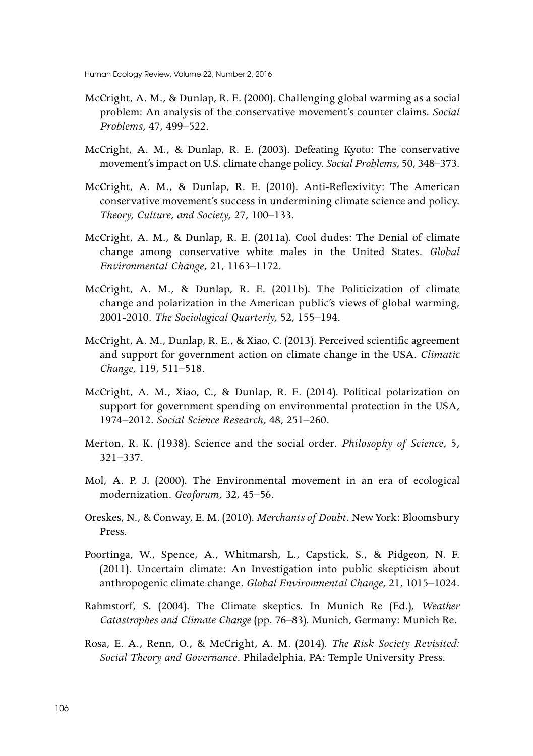Human Ecology Review, Volume 22, Number 2, 2016

- McCright, A. M., & Dunlap, R. E. (2000). Challenging global warming as a social problem: An analysis of the conservative movement's counter claims. *Social Problems,* 47, 499–522.
- McCright, A. M., & Dunlap, R. E. (2003). Defeating Kyoto: The conservative movement's impact on U.S. climate change policy. *Social Problems,* 50, 348–373.
- McCright, A. M., & Dunlap, R. E. (2010). Anti-Reflexivity: The American conservative movement's success in undermining climate science and policy. *Theory, Culture, and Society,* 27, 100–133.
- McCright, A. M., & Dunlap, R. E. (2011a). Cool dudes: The Denial of climate change among conservative white males in the United States. *Global Environmental Change,* 21, 1163–1172.
- McCright, A. M., & Dunlap, R. E. (2011b). The Politicization of climate change and polarization in the American public's views of global warming, 2001-2010. *The Sociological Quarterly,* 52, 155–194.
- McCright, A. M., Dunlap, R. E., & Xiao, C. (2013). Perceived scientific agreement and support for government action on climate change in the USA. *Climatic Change,* 119, 511–518.
- McCright, A. M., Xiao, C., & Dunlap, R. E. (2014). Political polarization on support for government spending on environmental protection in the USA, 1974–2012. *Social Science Research,* 48, 251–260.
- Merton, R. K. (1938). Science and the social order. *Philosophy of Science,* 5, 321–337.
- Mol, A. P. J. (2000). The Environmental movement in an era of ecological modernization. *Geoforum,* 32, 45–56.
- Oreskes, N., & Conway, E. M. (2010). *Merchants of Doubt*. New York: Bloomsbury Press.
- Poortinga, W., Spence, A., Whitmarsh, L., Capstick, S., & Pidgeon, N. F. (2011). Uncertain climate: An Investigation into public skepticism about anthropogenic climate change. *Global Environmental Change,* 21, 1015–1024.
- Rahmstorf, S. (2004). The Climate skeptics. In Munich Re (Ed.), *Weather Catastrophes and Climate Change* (pp. 76–83). Munich, Germany: Munich Re.
- Rosa, E. A., Renn, O., & McCright, A. M. (2014). *The Risk Society Revisited: Social Theory and Governance*. Philadelphia, PA: Temple University Press.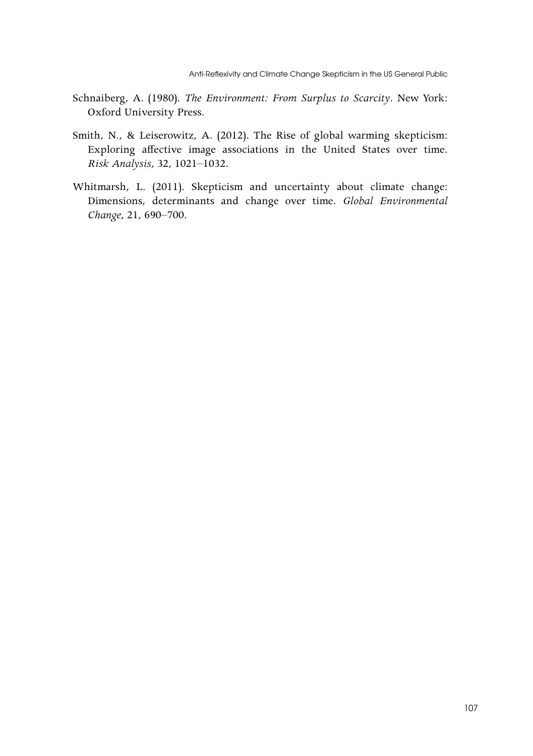- Schnaiberg, A. (1980). *The Environment: From Surplus to Scarcity*. New York: Oxford University Press.
- Smith, N., & Leiserowitz, A. (2012). The Rise of global warming skepticism: Exploring affective image associations in the United States over time. *Risk Analysis,* 32, 1021–1032.
- Whitmarsh, L. (2011). Skepticism and uncertainty about climate change: Dimensions, determinants and change over time. *Global Environmental Change,* 21, 690–700.